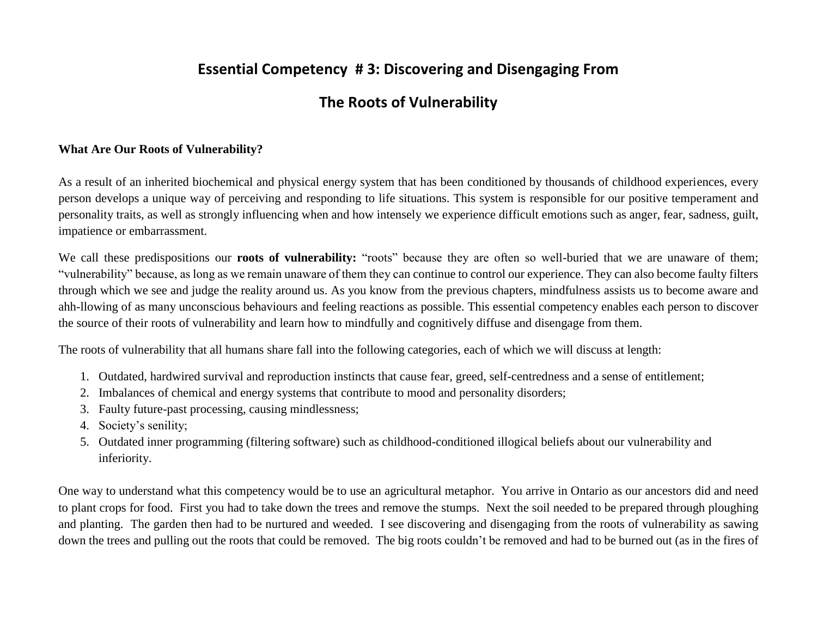# **Essential Competency # 3: Discovering and Disengaging From**

# **The Roots of Vulnerability**

### **What Are Our Roots of Vulnerability?**

As a result of an inherited biochemical and physical energy system that has been conditioned by thousands of childhood experiences, every person develops a unique way of perceiving and responding to life situations. This system is responsible for our positive temperament and personality traits, as well as strongly influencing when and how intensely we experience difficult emotions such as anger, fear, sadness, guilt, impatience or embarrassment.

We call these predispositions our **roots of vulnerability:** "roots" because they are often so well-buried that we are unaware of them; "vulnerability" because, as long as we remain unaware of them they can continue to control our experience. They can also become faulty filters through which we see and judge the reality around us. As you know from the previous chapters, mindfulness assists us to become aware and ahh-llowing of as many unconscious behaviours and feeling reactions as possible. This essential competency enables each person to discover the source of their roots of vulnerability and learn how to mindfully and cognitively diffuse and disengage from them.

The roots of vulnerability that all humans share fall into the following categories, each of which we will discuss at length:

- 1. Outdated, hardwired survival and reproduction instincts that cause fear, greed, self-centredness and a sense of entitlement;
- 2. Imbalances of chemical and energy systems that contribute to mood and personality disorders;
- 3. Faulty future-past processing, causing mindlessness;
- 4. Society's senility;
- 5. Outdated inner programming (filtering software) such as childhood-conditioned illogical beliefs about our vulnerability and inferiority.

One way to understand what this competency would be to use an agricultural metaphor. You arrive in Ontario as our ancestors did and need to plant crops for food. First you had to take down the trees and remove the stumps. Next the soil needed to be prepared through ploughing and planting. The garden then had to be nurtured and weeded. I see discovering and disengaging from the roots of vulnerability as sawing down the trees and pulling out the roots that could be removed. The big roots couldn't be removed and had to be burned out (as in the fires of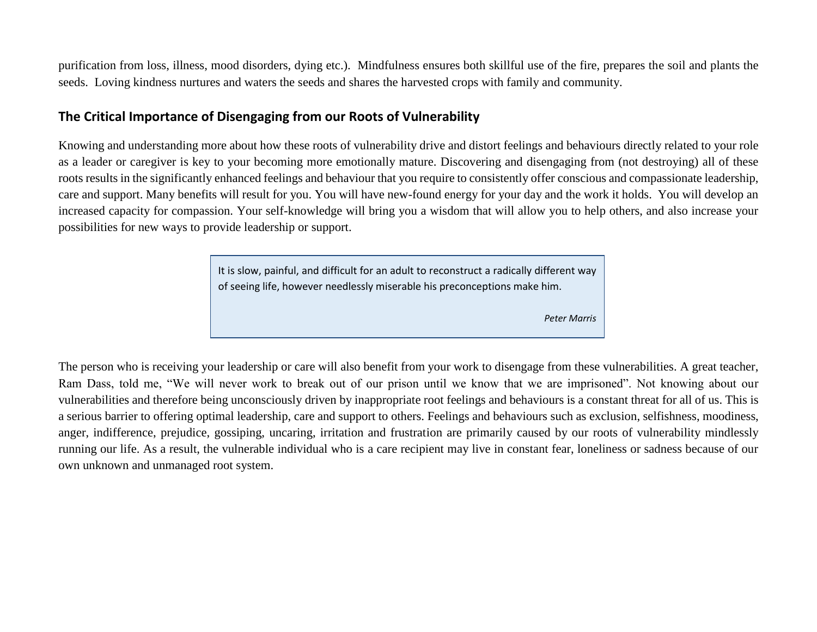purification from loss, illness, mood disorders, dying etc.). Mindfulness ensures both skillful use of the fire, prepares the soil and plants the seeds. Loving kindness nurtures and waters the seeds and shares the harvested crops with family and community.

## **The Critical Importance of Disengaging from our Roots of Vulnerability**

Knowing and understanding more about how these roots of vulnerability drive and distort feelings and behaviours directly related to your role as a leader or caregiver is key to your becoming more emotionally mature. Discovering and disengaging from (not destroying) all of these roots results in the significantly enhanced feelings and behaviour that you require to consistently offer conscious and compassionate leadership, care and support. Many benefits will result for you. You will have new-found energy for your day and the work it holds. You will develop an increased capacity for compassion. Your self-knowledge will bring you a wisdom that will allow you to help others, and also increase your possibilities for new ways to provide leadership or support.

> It is slow, painful, and difficult for an adult to reconstruct a radically different way of seeing life, however needlessly miserable his preconceptions make him.

> > *Peter Marris*

The person who is receiving your leadership or care will also benefit from your work to disengage from these vulnerabilities. A great teacher, Ram Dass, told me, "We will never work to break out of our prison until we know that we are imprisoned". Not knowing about our vulnerabilities and therefore being unconsciously driven by inappropriate root feelings and behaviours is a constant threat for all of us. This is a serious barrier to offering optimal leadership, care and support to others. Feelings and behaviours such as exclusion, selfishness, moodiness, anger, indifference, prejudice, gossiping, uncaring, irritation and frustration are primarily caused by our roots of vulnerability mindlessly running our life. As a result, the vulnerable individual who is a care recipient may live in constant fear, loneliness or sadness because of our own unknown and unmanaged root system.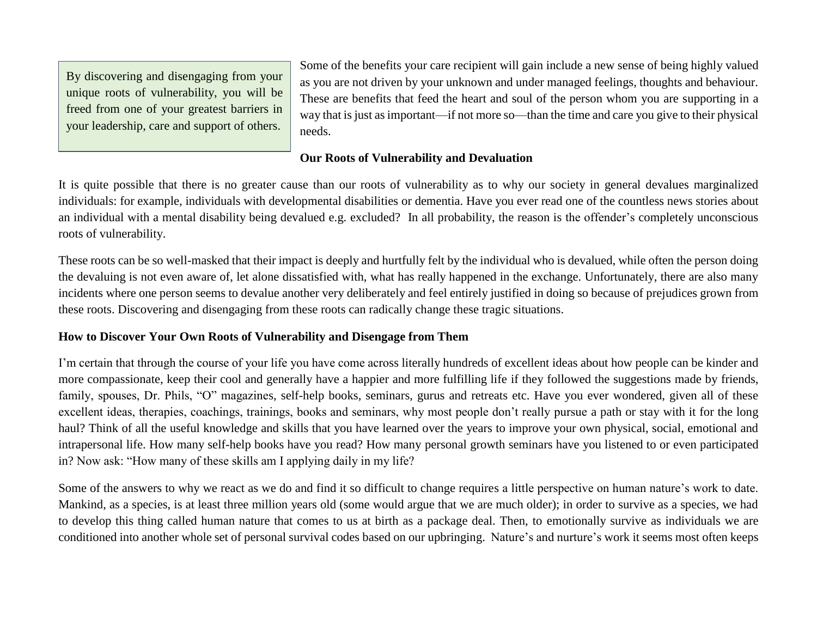By discovering and disengaging from your unique roots of vulnerability, you will be freed from one of your greatest barriers in your leadership, care and support of others.

Some of the benefits your care recipient will gain include a new sense of being highly valued as you are not driven by your unknown and under managed feelings, thoughts and behaviour. These are benefits that feed the heart and soul of the person whom you are supporting in a way that is just as important—if not more so—than the time and care you give to their physical needs.

## **Our Roots of Vulnerability and Devaluation**

It is quite possible that there is no greater cause than our roots of vulnerability as to why our society in general devalues marginalized individuals: for example, individuals with developmental disabilities or dementia. Have you ever read one of the countless news stories about an individual with a mental disability being devalued e.g. excluded? In all probability, the reason is the offender's completely unconscious roots of vulnerability.

These roots can be so well-masked that their impact is deeply and hurtfully felt by the individual who is devalued, while often the person doing the devaluing is not even aware of, let alone dissatisfied with, what has really happened in the exchange. Unfortunately, there are also many incidents where one person seems to devalue another very deliberately and feel entirely justified in doing so because of prejudices grown from these roots. Discovering and disengaging from these roots can radically change these tragic situations.

## **How to Discover Your Own Roots of Vulnerability and Disengage from Them**

I'm certain that through the course of your life you have come across literally hundreds of excellent ideas about how people can be kinder and more compassionate, keep their cool and generally have a happier and more fulfilling life if they followed the suggestions made by friends, family, spouses, Dr. Phils, "O" magazines, self-help books, seminars, gurus and retreats etc. Have you ever wondered, given all of these excellent ideas, therapies, coachings, trainings, books and seminars, why most people don't really pursue a path or stay with it for the long haul? Think of all the useful knowledge and skills that you have learned over the years to improve your own physical, social, emotional and intrapersonal life. How many self-help books have you read? How many personal growth seminars have you listened to or even participated in? Now ask: "How many of these skills am I applying daily in my life?

Some of the answers to why we react as we do and find it so difficult to change requires a little perspective on human nature's work to date. Mankind, as a species, is at least three million years old (some would argue that we are much older); in order to survive as a species, we had to develop this thing called human nature that comes to us at birth as a package deal. Then, to emotionally survive as individuals we are conditioned into another whole set of personal survival codes based on our upbringing. Nature's and nurture's work it seems most often keeps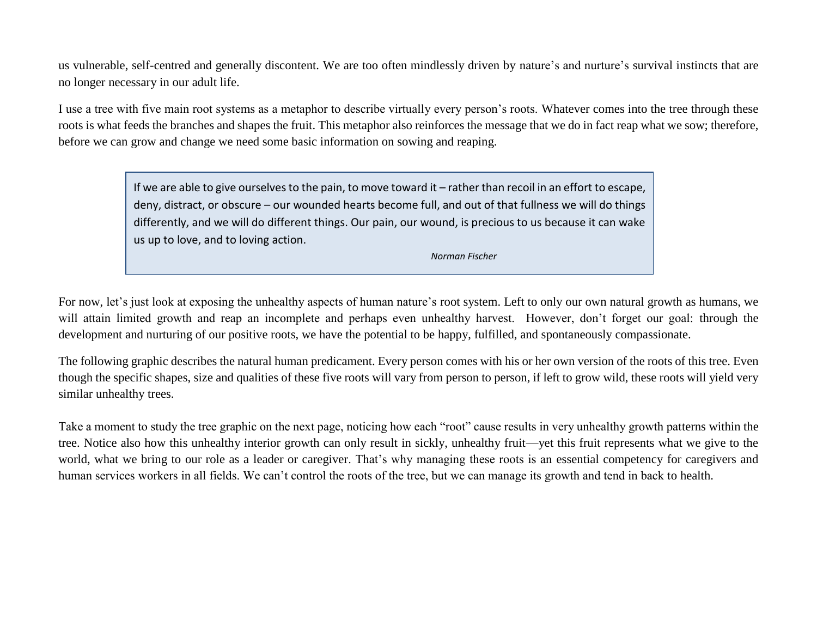us vulnerable, self-centred and generally discontent. We are too often mindlessly driven by nature's and nurture's survival instincts that are no longer necessary in our adult life.

I use a tree with five main root systems as a metaphor to describe virtually every person's roots. Whatever comes into the tree through these roots is what feeds the branches and shapes the fruit. This metaphor also reinforces the message that we do in fact reap what we sow; therefore, before we can grow and change we need some basic information on sowing and reaping.

> If we are able to give ourselves to the pain, to move toward it – rather than recoil in an effort to escape, deny, distract, or obscure – our wounded hearts become full, and out of that fullness we will do things differently, and we will do different things. Our pain, our wound, is precious to us because it can wake us up to love, and to loving action.

> > *Norman Fischer*

For now, let's just look at exposing the unhealthy aspects of human nature's root system. Left to only our own natural growth as humans, we will attain limited growth and reap an incomplete and perhaps even unhealthy harvest. However, don't forget our goal: through the development and nurturing of our positive roots, we have the potential to be happy, fulfilled, and spontaneously compassionate.

The following graphic describes the natural human predicament. Every person comes with his or her own version of the roots of this tree. Even though the specific shapes, size and qualities of these five roots will vary from person to person, if left to grow wild, these roots will yield very similar unhealthy trees.

Take a moment to study the tree graphic on the next page, noticing how each "root" cause results in very unhealthy growth patterns within the tree. Notice also how this unhealthy interior growth can only result in sickly, unhealthy fruit—yet this fruit represents what we give to the world, what we bring to our role as a leader or caregiver. That's why managing these roots is an essential competency for caregivers and human services workers in all fields. We can't control the roots of the tree, but we can manage its growth and tend in back to health.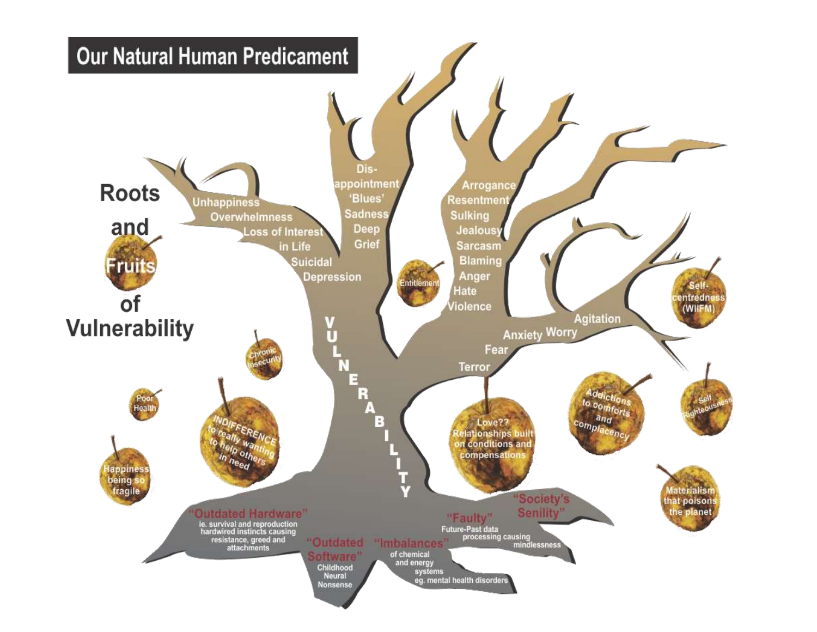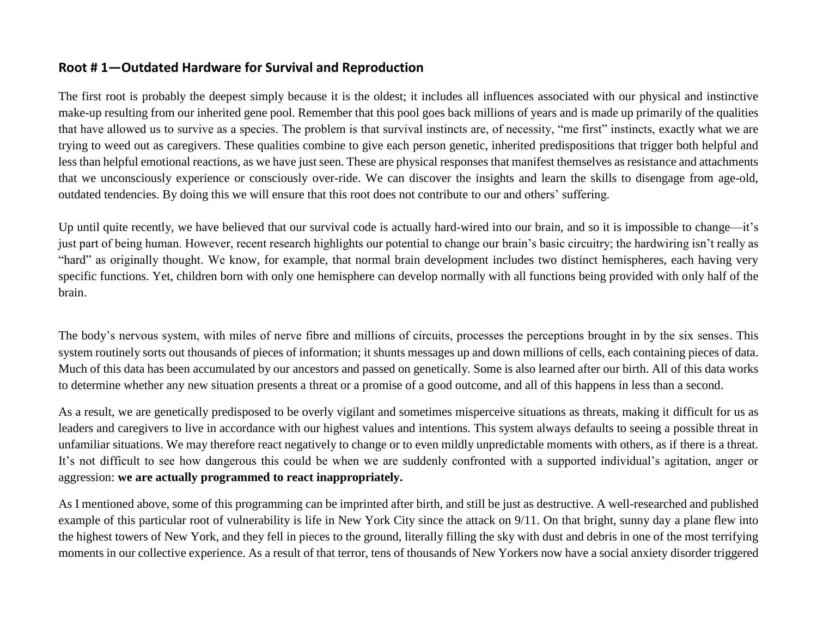## **Root # 1—Outdated Hardware for Survival and Reproduction**

The first root is probably the deepest simply because it is the oldest; it includes all influences associated with our physical and instinctive make-up resulting from our inherited gene pool. Remember that this pool goes back millions of years and is made up primarily of the qualities that have allowed us to survive as a species. The problem is that survival instincts are, of necessity, "me first" instincts, exactly what we are trying to weed out as caregivers. These qualities combine to give each person genetic, inherited predispositions that trigger both helpful and less than helpful emotional reactions, as we have just seen. These are physical responses that manifest themselves as resistance and attachments that we unconsciously experience or consciously over-ride. We can discover the insights and learn the skills to disengage from age-old, outdated tendencies. By doing this we will ensure that this root does not contribute to our and others' suffering.

Up until quite recently, we have believed that our survival code is actually hard-wired into our brain, and so it is impossible to change—it's just part of being human. However, recent research highlights our potential to change our brain's basic circuitry; the hardwiring isn't really as "hard" as originally thought. We know, for example, that normal brain development includes two distinct hemispheres, each having very specific functions. Yet, children born with only one hemisphere can develop normally with all functions being provided with only half of the brain.

The body's nervous system, with miles of nerve fibre and millions of circuits, processes the perceptions brought in by the six senses. This system routinely sorts out thousands of pieces of information; it shunts messages up and down millions of cells, each containing pieces of data. Much of this data has been accumulated by our ancestors and passed on genetically. Some is also learned after our birth. All of this data works to determine whether any new situation presents a threat or a promise of a good outcome, and all of this happens in less than a second.

As a result, we are genetically predisposed to be overly vigilant and sometimes misperceive situations as threats, making it difficult for us as leaders and caregivers to live in accordance with our highest values and intentions. This system always defaults to seeing a possible threat in unfamiliar situations. We may therefore react negatively to change or to even mildly unpredictable moments with others, as if there is a threat. It's not difficult to see how dangerous this could be when we are suddenly confronted with a supported individual's agitation, anger or aggression: **we are actually programmed to react inappropriately.**

As I mentioned above, some of this programming can be imprinted after birth, and still be just as destructive. A well-researched and published example of this particular root of vulnerability is life in New York City since the attack on 9/11. On that bright, sunny day a plane flew into the highest towers of New York, and they fell in pieces to the ground, literally filling the sky with dust and debris in one of the most terrifying moments in our collective experience. As a result of that terror, tens of thousands of New Yorkers now have a social anxiety disorder triggered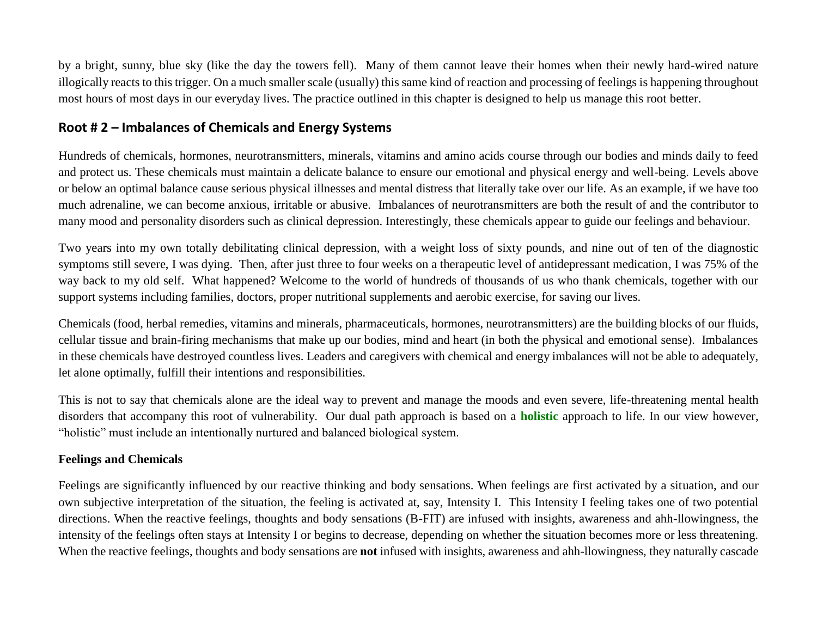by a bright, sunny, blue sky (like the day the towers fell). Many of them cannot leave their homes when their newly hard-wired nature illogically reacts to this trigger. On a much smaller scale (usually) this same kind of reaction and processing of feelings is happening throughout most hours of most days in our everyday lives. The practice outlined in this chapter is designed to help us manage this root better.

## **Root # 2 – Imbalances of Chemicals and Energy Systems**

Hundreds of chemicals, hormones, neurotransmitters, minerals, vitamins and amino acids course through our bodies and minds daily to feed and protect us. These chemicals must maintain a delicate balance to ensure our emotional and physical energy and well-being. Levels above or below an optimal balance cause serious physical illnesses and mental distress that literally take over our life. As an example, if we have too much adrenaline, we can become anxious, irritable or abusive. Imbalances of neurotransmitters are both the result of and the contributor to many mood and personality disorders such as clinical depression. Interestingly, these chemicals appear to guide our feelings and behaviour.

Two years into my own totally debilitating clinical depression, with a weight loss of sixty pounds, and nine out of ten of the diagnostic symptoms still severe, I was dying. Then, after just three to four weeks on a therapeutic level of antidepressant medication, I was 75% of the way back to my old self. What happened? Welcome to the world of hundreds of thousands of us who thank chemicals, together with our support systems including families, doctors, proper nutritional supplements and aerobic exercise, for saving our lives.

Chemicals (food, herbal remedies, vitamins and minerals, pharmaceuticals, hormones, neurotransmitters) are the building blocks of our fluids, cellular tissue and brain-firing mechanisms that make up our bodies, mind and heart (in both the physical and emotional sense). Imbalances in these chemicals have destroyed countless lives. Leaders and caregivers with chemical and energy imbalances will not be able to adequately, let alone optimally, fulfill their intentions and responsibilities.

This is not to say that chemicals alone are the ideal way to prevent and manage the moods and even severe, life-threatening mental health disorders that accompany this root of vulnerability. Our dual path approach is based on a **holistic** approach to life. In our view however, "holistic" must include an intentionally nurtured and balanced biological system.

## **Feelings and Chemicals**

Feelings are significantly influenced by our reactive thinking and body sensations. When feelings are first activated by a situation, and our own subjective interpretation of the situation, the feeling is activated at, say, Intensity I. This Intensity I feeling takes one of two potential directions. When the reactive feelings, thoughts and body sensations (B-FIT) are infused with insights, awareness and ahh-llowingness, the intensity of the feelings often stays at Intensity I or begins to decrease, depending on whether the situation becomes more or less threatening. When the reactive feelings, thoughts and body sensations are **not** infused with insights, awareness and ahh-llowingness, they naturally cascade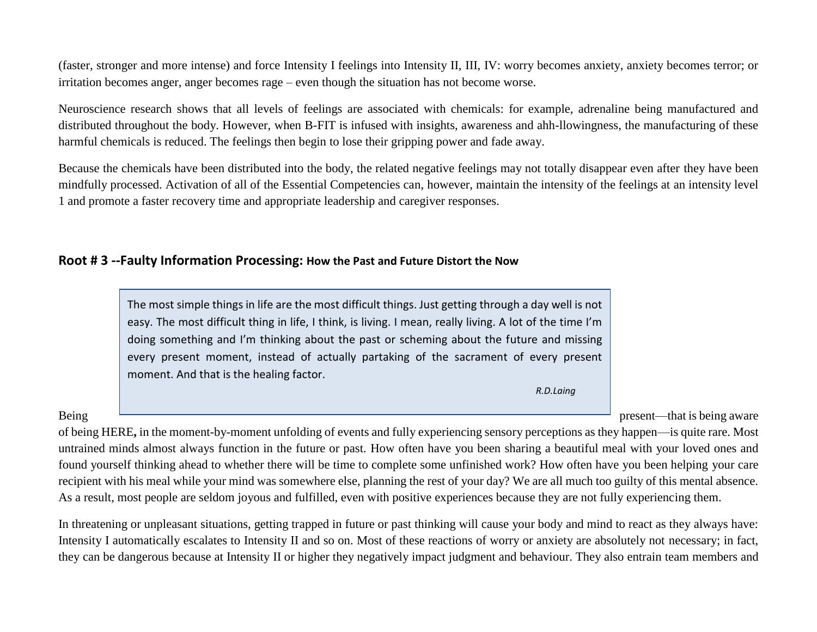(faster, stronger and more intense) and force Intensity I feelings into Intensity II, III, IV: worry becomes anxiety, anxiety becomes terror; or irritation becomes anger, anger becomes rage – even though the situation has not become worse.

Neuroscience research shows that all levels of feelings are associated with chemicals: for example, adrenaline being manufactured and distributed throughout the body. However, when B-FIT is infused with insights, awareness and ahh-llowingness, the manufacturing of these harmful chemicals is reduced. The feelings then begin to lose their gripping power and fade away.

Because the chemicals have been distributed into the body, the related negative feelings may not totally disappear even after they have been mindfully processed. Activation of all of the Essential Competencies can, however, maintain the intensity of the feelings at an intensity level 1 and promote a faster recovery time and appropriate leadership and caregiver responses.

## **Root # 3 --Faulty Information Processing: How the Past and Future Distort the Now**



Being present—that is being aware

of being HERE**,** in the moment-by-moment unfolding of events and fully experiencing sensory perceptions as they happen—is quite rare. Most untrained minds almost always function in the future or past. How often have you been sharing a beautiful meal with your loved ones and found yourself thinking ahead to whether there will be time to complete some unfinished work? How often have you been helping your care recipient with his meal while your mind was somewhere else, planning the rest of your day? We are all much too guilty of this mental absence. As a result, most people are seldom joyous and fulfilled, even with positive experiences because they are not fully experiencing them.

In threatening or unpleasant situations, getting trapped in future or past thinking will cause your body and mind to react as they always have: Intensity I automatically escalates to Intensity II and so on. Most of these reactions of worry or anxiety are absolutely not necessary; in fact, they can be dangerous because at Intensity II or higher they negatively impact judgment and behaviour. They also entrain team members and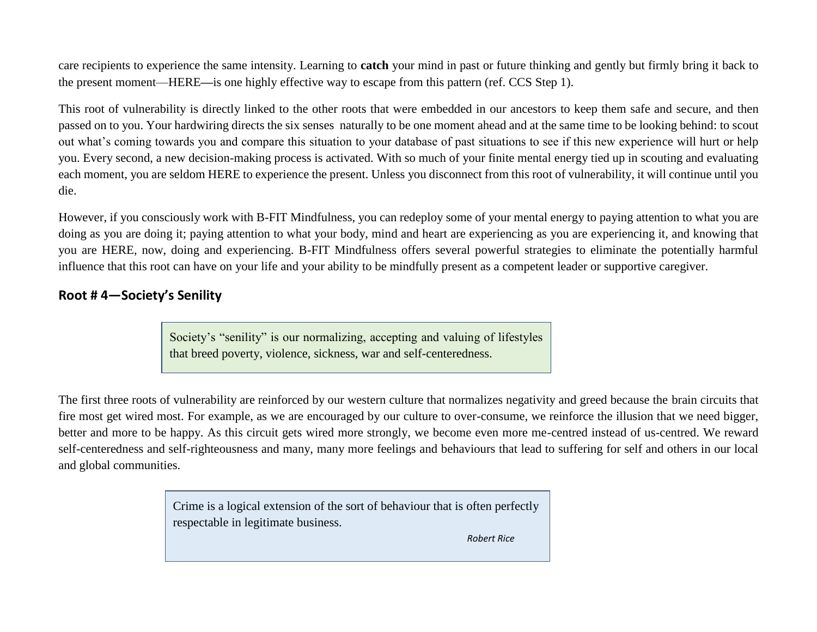care recipients to experience the same intensity. Learning to **catch** your mind in past or future thinking and gently but firmly bring it back to the present moment—HERE**—**is one highly effective way to escape from this pattern (ref. CCS Step 1).

This root of vulnerability is directly linked to the other roots that were embedded in our ancestors to keep them safe and secure, and then passed on to you. Your hardwiring directs the six senses naturally to be one moment ahead and at the same time to be looking behind: to scout out what's coming towards you and compare this situation to your database of past situations to see if this new experience will hurt or help you. Every second, a new decision-making process is activated. With so much of your finite mental energy tied up in scouting and evaluating each moment, you are seldom HERE to experience the present. Unless you disconnect from this root of vulnerability, it will continue until you die.

However, if you consciously work with B-FIT Mindfulness, you can redeploy some of your mental energy to paying attention to what you are doing as you are doing it; paying attention to what your body, mind and heart are experiencing as you are experiencing it, and knowing that you are HERE, now, doing and experiencing. B-FIT Mindfulness offers several powerful strategies to eliminate the potentially harmful influence that this root can have on your life and your ability to be mindfully present as a competent leader or supportive caregiver.

## **Root # 4—Society's Senility**

Society's "senility" is our normalizing, accepting and valuing of lifestyles that breed poverty, violence, sickness, war and self-centeredness.

The first three roots of vulnerability are reinforced by our western culture that normalizes negativity and greed because the brain circuits that fire most get wired most. For example, as we are encouraged by our culture to over-consume, we reinforce the illusion that we need bigger, better and more to be happy. As this circuit gets wired more strongly, we become even more me-centred instead of us-centred. We reward self-centeredness and self-righteousness and many, many more feelings and behaviours that lead to suffering for self and others in our local and global communities.

> Crime is a logical extension of the sort of behaviour that is often perfectly respectable in legitimate business.

> > *Robert Rice*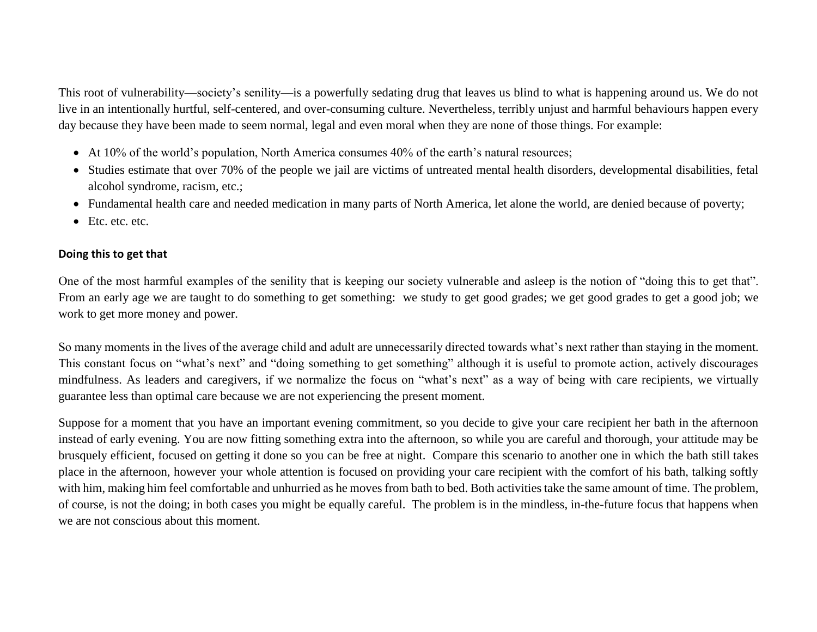This root of vulnerability—society's senility—is a powerfully sedating drug that leaves us blind to what is happening around us. We do not live in an intentionally hurtful, self-centered, and over-consuming culture. Nevertheless, terribly unjust and harmful behaviours happen every day because they have been made to seem normal, legal and even moral when they are none of those things. For example:

- At 10% of the world's population, North America consumes 40% of the earth's natural resources;
- Studies estimate that over 70% of the people we jail are victims of untreated mental health disorders, developmental disabilities, fetal alcohol syndrome, racism, etc.;
- Fundamental health care and needed medication in many parts of North America, let alone the world, are denied because of poverty;
- Etc. etc. etc.

## **Doing this to get that**

One of the most harmful examples of the senility that is keeping our society vulnerable and asleep is the notion of "doing this to get that". From an early age we are taught to do something to get something:we study to get good grades; we get good grades to get a good job; we work to get more money and power.

So many moments in the lives of the average child and adult are unnecessarily directed towards what's next rather than staying in the moment. This constant focus on "what's next" and "doing something to get something" although it is useful to promote action, actively discourages mindfulness. As leaders and caregivers, if we normalize the focus on "what's next" as a way of being with care recipients, we virtually guarantee less than optimal care because we are not experiencing the present moment.

Suppose for a moment that you have an important evening commitment, so you decide to give your care recipient her bath in the afternoon instead of early evening. You are now fitting something extra into the afternoon, so while you are careful and thorough, your attitude may be brusquely efficient, focused on getting it done so you can be free at night. Compare this scenario to another one in which the bath still takes place in the afternoon, however your whole attention is focused on providing your care recipient with the comfort of his bath, talking softly with him, making him feel comfortable and unhurried as he moves from bath to bed. Both activities take the same amount of time. The problem, of course, is not the doing; in both cases you might be equally careful. The problem is in the mindless, in-the-future focus that happens when we are not conscious about this moment.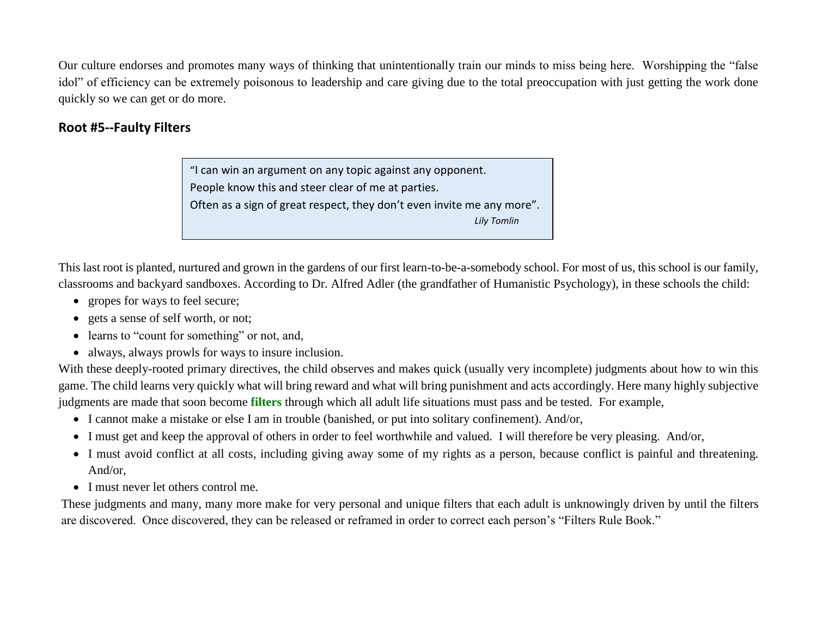Our culture endorses and promotes many ways of thinking that unintentionally train our minds to miss being here. Worshipping the "false idol" of efficiency can be extremely poisonous to leadership and care giving due to the total preoccupation with just getting the work done quickly so we can get or do more.

## **Root #5--Faulty Filters**

"I can win an argument on any topic against any opponent. People know this and steer clear of me at parties. Often as a sign of great respect, they don't even invite me any more".  *Lily Tomlin*

This last root is planted, nurtured and grown in the gardens of our first learn-to-be-a-somebody school. For most of us, this school is our family, classrooms and backyard sandboxes. According to Dr. Alfred Adler (the grandfather of Humanistic Psychology), in these schools the child:

- gropes for ways to feel secure;
- gets a sense of self worth, or not;
- learns to "count for something" or not, and,
- always, always prowls for ways to insure inclusion.

With these deeply-rooted primary directives, the child observes and makes quick (usually very incomplete) judgments about how to win this game. The child learns very quickly what will bring reward and what will bring punishment and acts accordingly. Here many highly subjective judgments are made that soon become **filters** through which all adult life situations must pass and be tested. For example,

- I cannot make a mistake or else I am in trouble (banished, or put into solitary confinement). And/or,
- I must get and keep the approval of others in order to feel worthwhile and valued. I will therefore be very pleasing. And/or,
- I must avoid conflict at all costs, including giving away some of my rights as a person, because conflict is painful and threatening. And/or,
- I must never let others control me.

These judgments and many, many more make for very personal and unique filters that each adult is unknowingly driven by until the filters are discovered. Once discovered, they can be released or reframed in order to correct each person's "Filters Rule Book."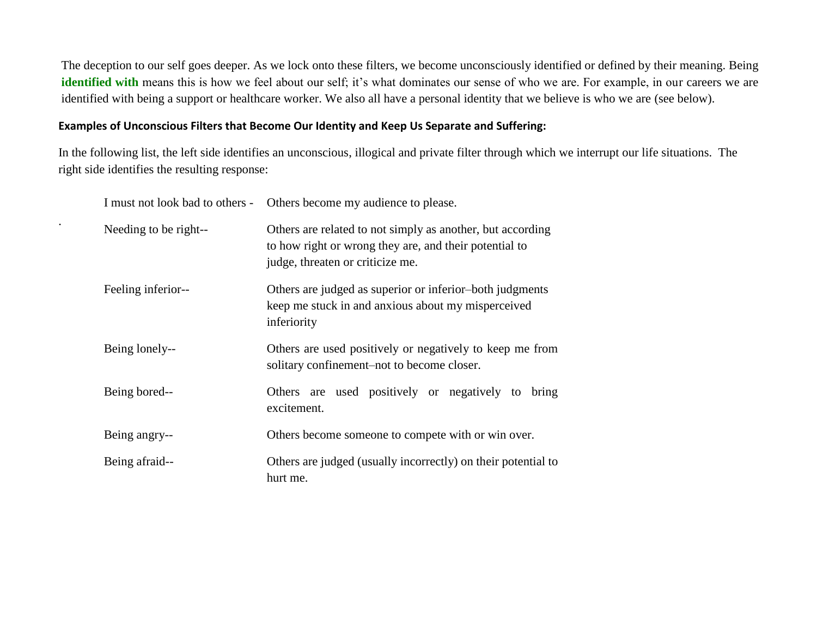The deception to our self goes deeper. As we lock onto these filters, we become unconsciously identified or defined by their meaning. Being identified with means this is how we feel about our self; it's what dominates our sense of who we are. For example, in our careers we are identified with being a support or healthcare worker. We also all have a personal identity that we believe is who we are (see below).

#### **Examples of Unconscious Filters that Become Our Identity and Keep Us Separate and Suffering:**

.

In the following list, the left side identifies an unconscious, illogical and private filter through which we interrupt our life situations. The right side identifies the resulting response:

| I must not look bad to others - | Others become my audience to please.                                                                                                                     |
|---------------------------------|----------------------------------------------------------------------------------------------------------------------------------------------------------|
| Needing to be right--           | Others are related to not simply as another, but according<br>to how right or wrong they are, and their potential to<br>judge, threaten or criticize me. |
| Feeling inferior--              | Others are judged as superior or inferior-both judgments<br>keep me stuck in and anxious about my misperceived<br>inferiority                            |
| Being lonely--                  | Others are used positively or negatively to keep me from<br>solitary confinement-not to become closer.                                                   |
| Being bored--                   | Others are used positively or negatively to bring<br>excitement.                                                                                         |
| Being angry--                   | Others become someone to compete with or win over.                                                                                                       |
| Being afraid--                  | Others are judged (usually incorrectly) on their potential to<br>hurt me.                                                                                |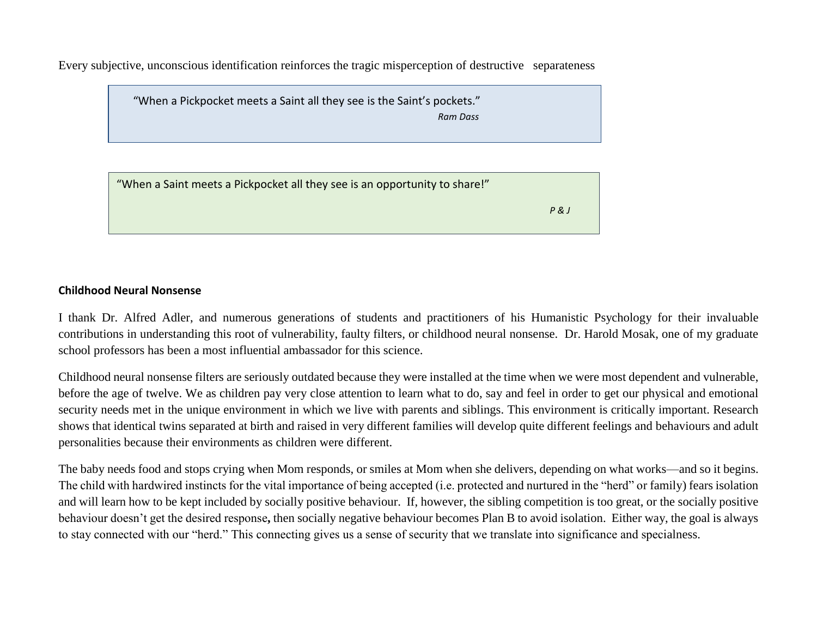Every subjective, unconscious identification reinforces the tragic misperception of destructive separateness

 "When a Pickpocket meets a Saint all they see is the Saint's pockets."  *Ram Dass*

"When a Saint meets a Pickpocket all they see is an opportunity to share!"  *P & J*

#### **Childhood Neural Nonsense**

I thank Dr. Alfred Adler, and numerous generations of students and practitioners of his Humanistic Psychology for their invaluable contributions in understanding this root of vulnerability, faulty filters, or childhood neural nonsense. Dr. Harold Mosak, one of my graduate school professors has been a most influential ambassador for this science.

Childhood neural nonsense filters are seriously outdated because they were installed at the time when we were most dependent and vulnerable, before the age of twelve. We as children pay very close attention to learn what to do, say and feel in order to get our physical and emotional security needs met in the unique environment in which we live with parents and siblings. This environment is critically important. Research shows that identical twins separated at birth and raised in very different families will develop quite different feelings and behaviours and adult personalities because their environments as children were different.

The baby needs food and stops crying when Mom responds, or smiles at Mom when she delivers, depending on what works—and so it begins. The child with hardwired instincts for the vital importance of being accepted (i.e. protected and nurtured in the "herd" or family) fears isolation and will learn how to be kept included by socially positive behaviour. If, however, the sibling competition is too great, or the socially positive behaviour doesn't get the desired response**,** then socially negative behaviour becomes Plan B to avoid isolation.Either way, the goal is always to stay connected with our "herd." This connecting gives us a sense of security that we translate into significance and specialness.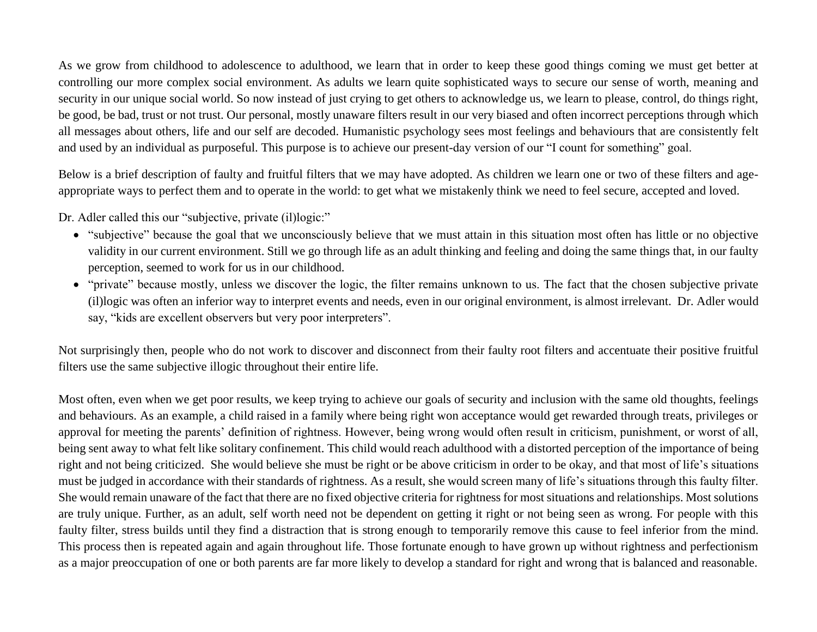As we grow from childhood to adolescence to adulthood, we learn that in order to keep these good things coming we must get better at controlling our more complex social environment. As adults we learn quite sophisticated ways to secure our sense of worth, meaning and security in our unique social world. So now instead of just crying to get others to acknowledge us, we learn to please, control, do things right, be good, be bad, trust or not trust. Our personal, mostly unaware filters result in our very biased and often incorrect perceptions through which all messages about others, life and our self are decoded. Humanistic psychology sees most feelings and behaviours that are consistently felt and used by an individual as purposeful. This purpose is to achieve our present-day version of our "I count for something" goal.

Below is a brief description of faulty and fruitful filters that we may have adopted. As children we learn one or two of these filters and ageappropriate ways to perfect them and to operate in the world: to get what we mistakenly think we need to feel secure, accepted and loved.

Dr. Adler called this our "subjective, private (il)logic:"

- "subjective" because the goal that we unconsciously believe that we must attain in this situation most often has little or no objective validity in our current environment. Still we go through life as an adult thinking and feeling and doing the same things that, in our faulty perception, seemed to work for us in our childhood.
- "private" because mostly, unless we discover the logic, the filter remains unknown to us. The fact that the chosen subjective private (il)logic was often an inferior way to interpret events and needs, even in our original environment, is almost irrelevant. Dr. Adler would say, "kids are excellent observers but very poor interpreters".

Not surprisingly then, people who do not work to discover and disconnect from their faulty root filters and accentuate their positive fruitful filters use the same subjective illogic throughout their entire life.

Most often, even when we get poor results, we keep trying to achieve our goals of security and inclusion with the same old thoughts, feelings and behaviours. As an example, a child raised in a family where being right won acceptance would get rewarded through treats, privileges or approval for meeting the parents' definition of rightness. However, being wrong would often result in criticism, punishment, or worst of all, being sent away to what felt like solitary confinement. This child would reach adulthood with a distorted perception of the importance of being right and not being criticized. She would believe she must be right or be above criticism in order to be okay, and that most of life's situations must be judged in accordance with their standards of rightness. As a result, she would screen many of life's situations through this faulty filter. She would remain unaware of the fact that there are no fixed objective criteria for rightness for most situations and relationships. Most solutions are truly unique. Further, as an adult, self worth need not be dependent on getting it right or not being seen as wrong. For people with this faulty filter, stress builds until they find a distraction that is strong enough to temporarily remove this cause to feel inferior from the mind. This process then is repeated again and again throughout life. Those fortunate enough to have grown up without rightness and perfectionism as a major preoccupation of one or both parents are far more likely to develop a standard for right and wrong that is balanced and reasonable.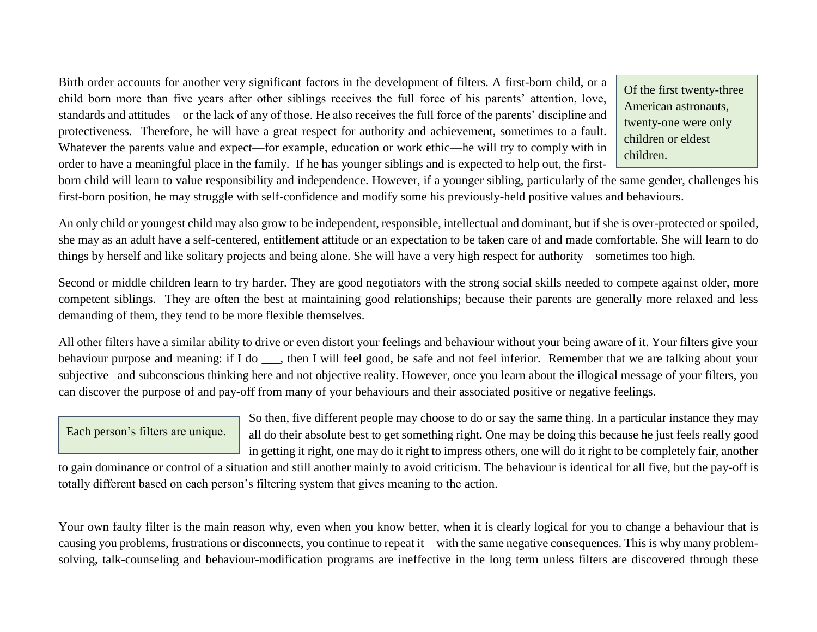Birth order accounts for another very significant factors in the development of filters. A first-born child, or a child born more than five years after other siblings receives the full force of his parents' attention, love, standards and attitudes—or the lack of any of those. He also receives the full force of the parents' discipline and protectiveness. Therefore, he will have a great respect for authority and achievement, sometimes to a fault. Whatever the parents value and expect—for example, education or work ethic—he will try to comply with in order to have a meaningful place in the family. If he has younger siblings and is expected to help out, the first-

Of the first twenty-three American astronauts, twenty-one were only children or eldest children.

born child will learn to value responsibility and independence. However, if a younger sibling, particularly of the same gender, challenges his first-born position, he may struggle with self-confidence and modify some his previously-held positive values and behaviours.

An only child or youngest child may also grow to be independent, responsible, intellectual and dominant, but if she is over-protected or spoiled, she may as an adult have a self-centered, entitlement attitude or an expectation to be taken care of and made comfortable. She will learn to do things by herself and like solitary projects and being alone. She will have a very high respect for authority—sometimes too high.

Second or middle children learn to try harder. They are good negotiators with the strong social skills needed to compete against older, more competent siblings. They are often the best at maintaining good relationships; because their parents are generally more relaxed and less demanding of them, they tend to be more flexible themselves.

All other filters have a similar ability to drive or even distort your feelings and behaviour without your being aware of it. Your filters give your behaviour purpose and meaning: if I do \_\_\_, then I will feel good, be safe and not feel inferior. Remember that we are talking about your subjective and subconscious thinking here and not objective reality. However, once you learn about the illogical message of your filters, you can discover the purpose of and pay-off from many of your behaviours and their associated positive or negative feelings.

Each person's filters are unique.

So then, five different people may choose to do or say the same thing. In a particular instance they may all do their absolute best to get something right. One may be doing this because he just feels really good in getting it right, one may do it right to impress others, one will do it right to be completely fair, another

to gain dominance or control of a situation and still another mainly to avoid criticism. The behaviour is identical for all five, but the pay-off is totally different based on each person's filtering system that gives meaning to the action.

Your own faulty filter is the main reason why, even when you know better, when it is clearly logical for you to change a behaviour that is causing you problems, frustrations or disconnects, you continue to repeat it—with the same negative consequences. This is why many problemsolving, talk-counseling and behaviour-modification programs are ineffective in the long term unless filters are discovered through these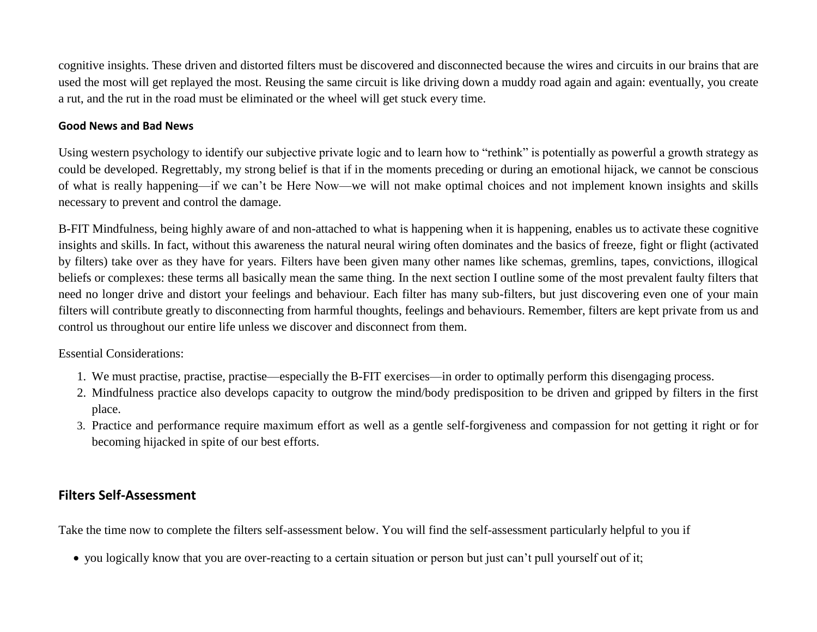cognitive insights. These driven and distorted filters must be discovered and disconnected because the wires and circuits in our brains that are used the most will get replayed the most. Reusing the same circuit is like driving down a muddy road again and again: eventually, you create a rut, and the rut in the road must be eliminated or the wheel will get stuck every time.

#### **Good News and Bad News**

Using western psychology to identify our subjective private logic and to learn how to "rethink" is potentially as powerful a growth strategy as could be developed. Regrettably, my strong belief is that if in the moments preceding or during an emotional hijack, we cannot be conscious of what is really happening—if we can't be Here Now—we will not make optimal choices and not implement known insights and skills necessary to prevent and control the damage.

B-FIT Mindfulness, being highly aware of and non-attached to what is happening when it is happening, enables us to activate these cognitive insights and skills. In fact, without this awareness the natural neural wiring often dominates and the basics of freeze, fight or flight (activated by filters) take over as they have for years. Filters have been given many other names like schemas, gremlins, tapes, convictions, illogical beliefs or complexes: these terms all basically mean the same thing. In the next section I outline some of the most prevalent faulty filters that need no longer drive and distort your feelings and behaviour. Each filter has many sub-filters, but just discovering even one of your main filters will contribute greatly to disconnecting from harmful thoughts, feelings and behaviours. Remember, filters are kept private from us and control us throughout our entire life unless we discover and disconnect from them.

#### Essential Considerations:

- 1. We must practise, practise, practise—especially the B-FIT exercises—in order to optimally perform this disengaging process.
- 2. Mindfulness practice also develops capacity to outgrow the mind/body predisposition to be driven and gripped by filters in the first place.
- 3. Practice and performance require maximum effort as well as a gentle self-forgiveness and compassion for not getting it right or for becoming hijacked in spite of our best efforts.

## **Filters Self-Assessment**

Take the time now to complete the filters self-assessment below. You will find the self-assessment particularly helpful to you if

you logically know that you are over-reacting to a certain situation or person but just can't pull yourself out of it;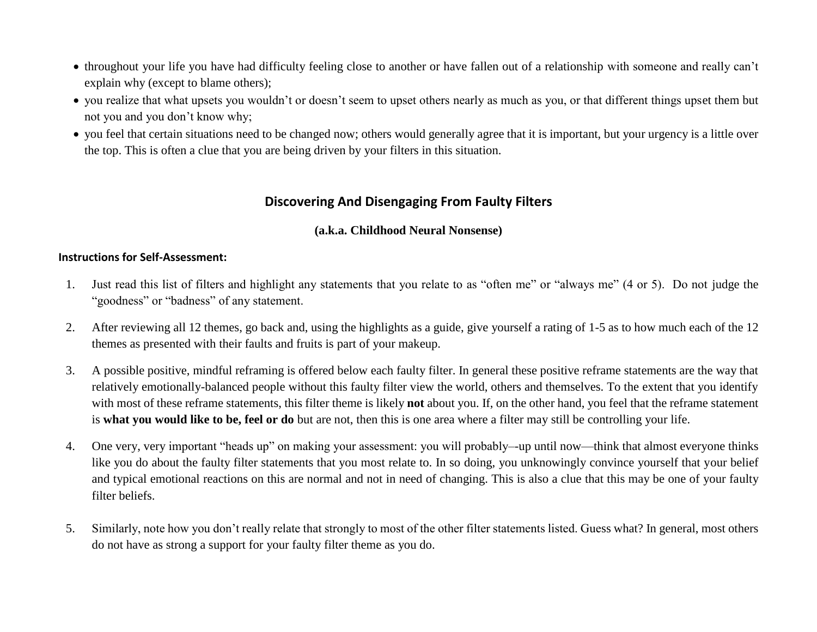- throughout your life you have had difficulty feeling close to another or have fallen out of a relationship with someone and really can't explain why (except to blame others);
- you realize that what upsets you wouldn't or doesn't seem to upset others nearly as much as you, or that different things upset them but not you and you don't know why;
- you feel that certain situations need to be changed now; others would generally agree that it is important, but your urgency is a little over the top. This is often a clue that you are being driven by your filters in this situation.

## **Discovering And Disengaging From Faulty Filters**

## **(a.k.a. Childhood Neural Nonsense)**

### **Instructions for Self-Assessment:**

- 1. Just read this list of filters and highlight any statements that you relate to as "often me" or "always me" (4 or 5). Do not judge the "goodness" or "badness" of any statement.
- 2. After reviewing all 12 themes, go back and, using the highlights as a guide, give yourself a rating of 1-5 as to how much each of the 12 themes as presented with their faults and fruits is part of your makeup.
- 3. A possible positive, mindful reframing is offered below each faulty filter. In general these positive reframe statements are the way that relatively emotionally-balanced people without this faulty filter view the world, others and themselves. To the extent that you identify with most of these reframe statements, this filter theme is likely **not** about you. If, on the other hand, you feel that the reframe statement is **what you would like to be, feel or do** but are not, then this is one area where a filter may still be controlling your life.
- 4. One very, very important "heads up" on making your assessment: you will probably–-up until now—think that almost everyone thinks like you do about the faulty filter statements that you most relate to. In so doing, you unknowingly convince yourself that your belief and typical emotional reactions on this are normal and not in need of changing. This is also a clue that this may be one of your faulty filter beliefs.
- 5. Similarly, note how you don't really relate that strongly to most of the other filter statements listed. Guess what? In general, most others do not have as strong a support for your faulty filter theme as you do.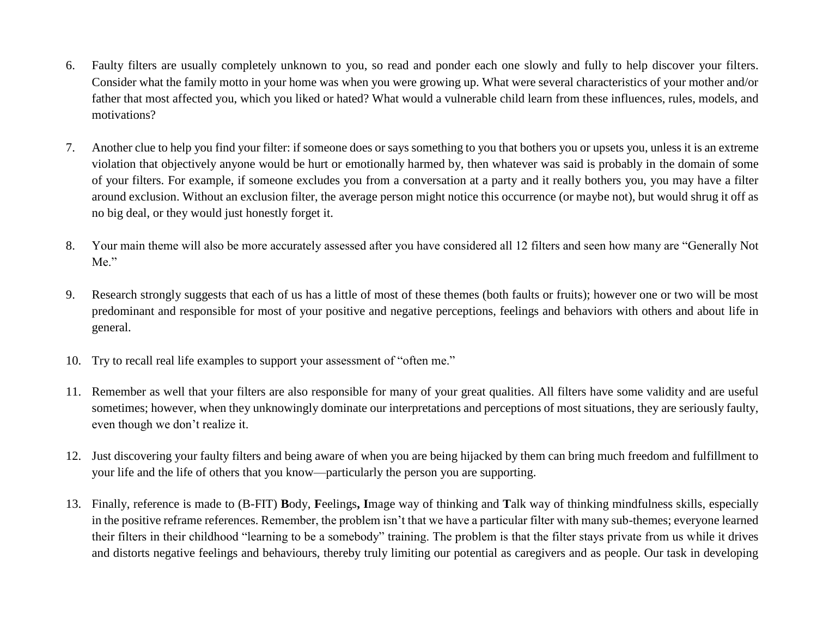- 6. Faulty filters are usually completely unknown to you, so read and ponder each one slowly and fully to help discover your filters. Consider what the family motto in your home was when you were growing up. What were several characteristics of your mother and/or father that most affected you, which you liked or hated? What would a vulnerable child learn from these influences, rules, models, and motivations?
- 7. Another clue to help you find your filter: if someone does or says something to you that bothers you or upsets you, unless it is an extreme violation that objectively anyone would be hurt or emotionally harmed by, then whatever was said is probably in the domain of some of your filters. For example, if someone excludes you from a conversation at a party and it really bothers you, you may have a filter around exclusion. Without an exclusion filter, the average person might notice this occurrence (or maybe not), but would shrug it off as no big deal, or they would just honestly forget it.
- 8. Your main theme will also be more accurately assessed after you have considered all 12 filters and seen how many are "Generally Not Me."
- 9. Research strongly suggests that each of us has a little of most of these themes (both faults or fruits); however one or two will be most predominant and responsible for most of your positive and negative perceptions, feelings and behaviors with others and about life in general.
- 10. Try to recall real life examples to support your assessment of "often me."
- 11. Remember as well that your filters are also responsible for many of your great qualities. All filters have some validity and are useful sometimes; however, when they unknowingly dominate our interpretations and perceptions of most situations, they are seriously faulty, even though we don't realize it.
- 12. Just discovering your faulty filters and being aware of when you are being hijacked by them can bring much freedom and fulfillment to your life and the life of others that you know—particularly the person you are supporting.
- 13. Finally, reference is made to (B-FIT) **B**ody, **F**eelings**, I**mage way of thinking and **T**alk way of thinking mindfulness skills, especially in the positive reframe references. Remember, the problem isn't that we have a particular filter with many sub-themes; everyone learned their filters in their childhood "learning to be a somebody" training. The problem is that the filter stays private from us while it drives and distorts negative feelings and behaviours, thereby truly limiting our potential as caregivers and as people. Our task in developing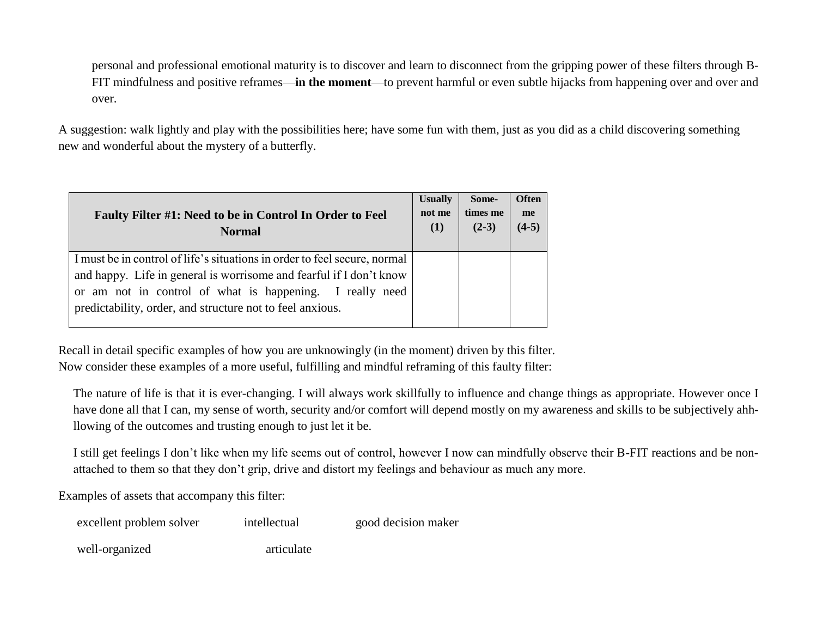personal and professional emotional maturity is to discover and learn to disconnect from the gripping power of these filters through B-FIT mindfulness and positive reframes—**in the moment**—to prevent harmful or even subtle hijacks from happening over and over and over.

A suggestion: walk lightly and play with the possibilities here; have some fun with them, just as you did as a child discovering something new and wonderful about the mystery of a butterfly.

| Faulty Filter #1: Need to be in Control In Order to Feel<br><b>Normal</b>                                                                                                                                                                                                 | <b>Usually</b><br>not me<br>(1) | Some-<br>times me<br>$(2-3)$ | <b>Often</b><br>me<br>$(4-5)$ |
|---------------------------------------------------------------------------------------------------------------------------------------------------------------------------------------------------------------------------------------------------------------------------|---------------------------------|------------------------------|-------------------------------|
| I must be in control of life's situations in order to feel secure, normal<br>and happy. Life in general is worrisome and fearful if I don't know<br>or am not in control of what is happening. I really need<br>predictability, order, and structure not to feel anxious. |                                 |                              |                               |

Recall in detail specific examples of how you are unknowingly (in the moment) driven by this filter. Now consider these examples of a more useful, fulfilling and mindful reframing of this faulty filter:

The nature of life is that it is ever-changing. I will always work skillfully to influence and change things as appropriate. However once I have done all that I can, my sense of worth, security and/or comfort will depend mostly on my awareness and skills to be subjectively ahhllowing of the outcomes and trusting enough to just let it be.

I still get feelings I don't like when my life seems out of control, however I now can mindfully observe their B-FIT reactions and be nonattached to them so that they don't grip, drive and distort my feelings and behaviour as much any more.

Examples of assets that accompany this filter:

| excellent problem solver | intellectual | good decision maker |
|--------------------------|--------------|---------------------|
|--------------------------|--------------|---------------------|

well-organized articulate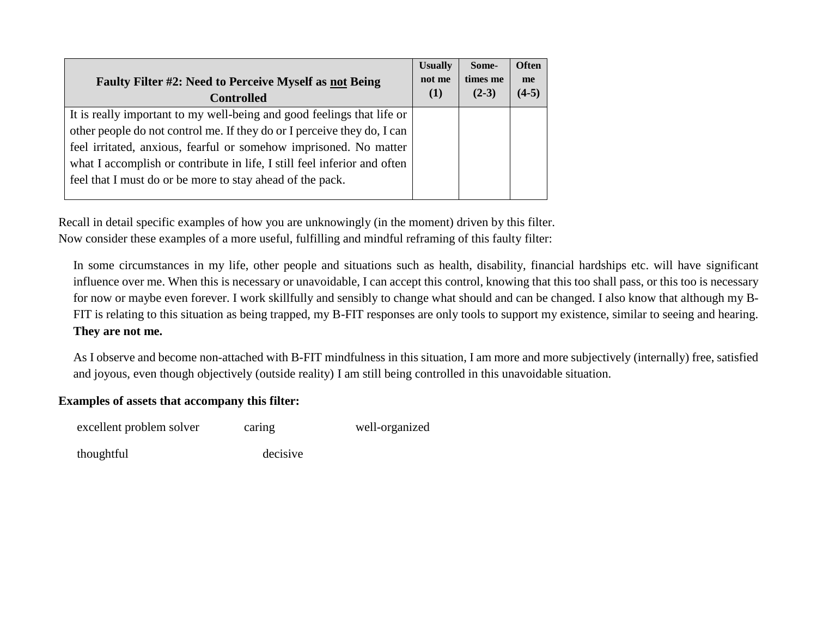| <b>Faulty Filter #2: Need to Perceive Myself as not Being</b><br><b>Controlled</b> | <b>Usually</b><br>not me<br>(1) | Some-<br>times me<br>$(2-3)$ | <b>Often</b><br>me<br>$(4-5)$ |
|------------------------------------------------------------------------------------|---------------------------------|------------------------------|-------------------------------|
| It is really important to my well-being and good feelings that life or             |                                 |                              |                               |
| other people do not control me. If they do or I perceive they do, I can            |                                 |                              |                               |
| feel irritated, anxious, fearful or somehow imprisoned. No matter                  |                                 |                              |                               |
| what I accomplish or contribute in life, I still feel inferior and often           |                                 |                              |                               |
| feel that I must do or be more to stay ahead of the pack.                          |                                 |                              |                               |

Recall in detail specific examples of how you are unknowingly (in the moment) driven by this filter. Now consider these examples of a more useful, fulfilling and mindful reframing of this faulty filter:

In some circumstances in my life, other people and situations such as health, disability, financial hardships etc. will have significant influence over me. When this is necessary or unavoidable, I can accept this control, knowing that this too shall pass, or this too is necessary for now or maybe even forever. I work skillfully and sensibly to change what should and can be changed. I also know that although my B-FIT is relating to this situation as being trapped, my B-FIT responses are only tools to support my existence, similar to seeing and hearing. **They are not me.**

As I observe and become non-attached with B-FIT mindfulness in this situation, I am more and more subjectively (internally) free, satisfied and joyous, even though objectively (outside reality) I am still being controlled in this unavoidable situation.

## **Examples of assets that accompany this filter:**

| excellent problem solver | caring   | well-organized |
|--------------------------|----------|----------------|
| thoughtful               | decisive |                |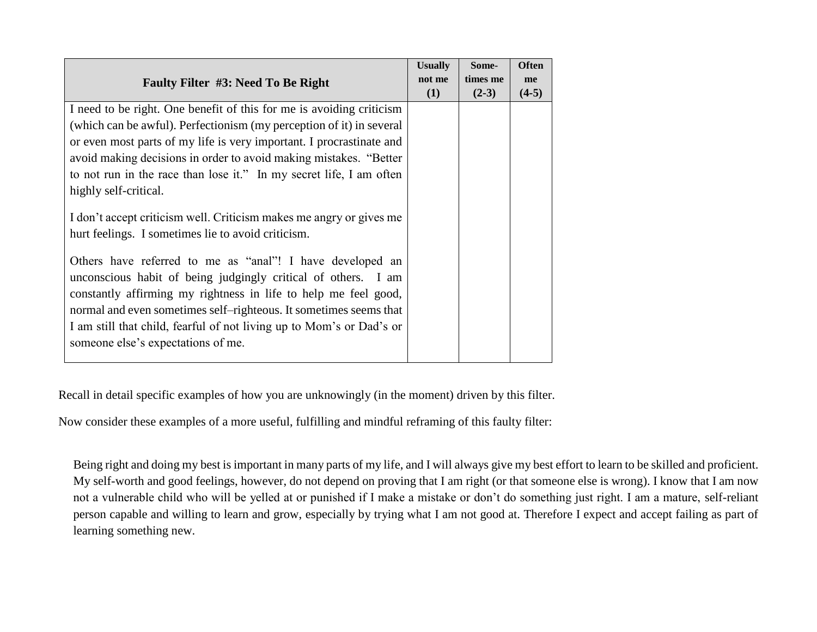| Faulty Filter #3: Need To Be Right                                   | <b>Usually</b><br>not me | Some-<br>times me | <b>Often</b><br>me |
|----------------------------------------------------------------------|--------------------------|-------------------|--------------------|
|                                                                      | (1)                      | $(2-3)$           | $(4-5)$            |
| I need to be right. One benefit of this for me is avoiding criticism |                          |                   |                    |
| (which can be awful). Perfectionism (my perception of it) in several |                          |                   |                    |
| or even most parts of my life is very important. I procrastinate and |                          |                   |                    |
| avoid making decisions in order to avoid making mistakes. "Better    |                          |                   |                    |
| to not run in the race than lose it." In my secret life, I am often  |                          |                   |                    |
| highly self-critical.                                                |                          |                   |                    |
|                                                                      |                          |                   |                    |
| I don't accept criticism well. Criticism makes me angry or gives me  |                          |                   |                    |
| hurt feelings. I sometimes lie to avoid criticism.                   |                          |                   |                    |
|                                                                      |                          |                   |                    |
| Others have referred to me as "anal"! I have developed an            |                          |                   |                    |
| unconscious habit of being judgingly critical of others. I am        |                          |                   |                    |
| constantly affirming my rightness in life to help me feel good,      |                          |                   |                    |
| normal and even sometimes self-righteous. It sometimes seems that    |                          |                   |                    |
| I am still that child, fearful of not living up to Mom's or Dad's or |                          |                   |                    |
| someone else's expectations of me.                                   |                          |                   |                    |
|                                                                      |                          |                   |                    |

Recall in detail specific examples of how you are unknowingly (in the moment) driven by this filter.

Now consider these examples of a more useful, fulfilling and mindful reframing of this faulty filter:

Being right and doing my best is important in many parts of my life, and I will always give my best effort to learn to be skilled and proficient. My self-worth and good feelings, however, do not depend on proving that I am right (or that someone else is wrong). I know that I am now not a vulnerable child who will be yelled at or punished if I make a mistake or don't do something just right. I am a mature, self-reliant person capable and willing to learn and grow, especially by trying what I am not good at. Therefore I expect and accept failing as part of learning something new.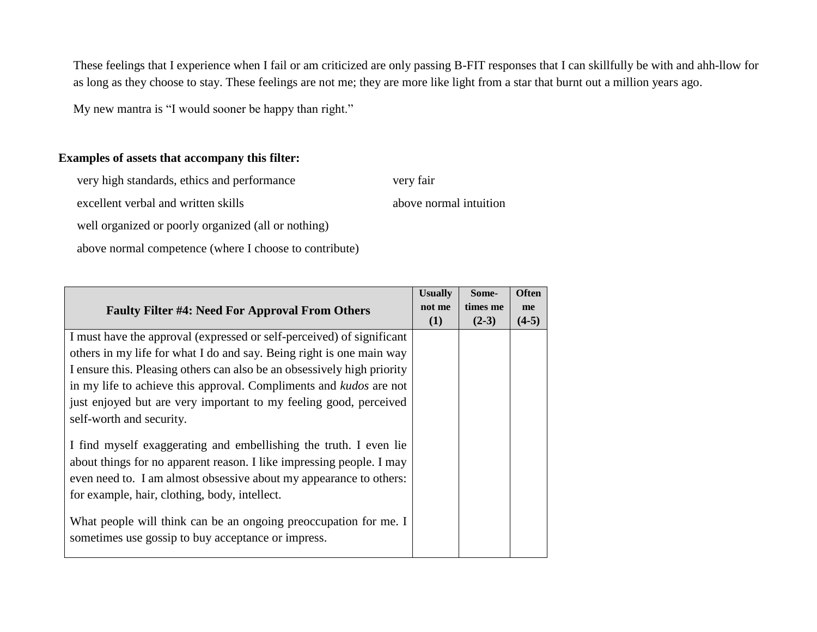These feelings that I experience when I fail or am criticized are only passing B-FIT responses that I can skillfully be with and ahh-llow for as long as they choose to stay. These feelings are not me; they are more like light from a star that burnt out a million years ago.

My new mantra is "I would sooner be happy than right."

## **Examples of assets that accompany this filter:**

very high standards, ethics and performance very fair

excellent verbal and written skills above normal intuition

well organized or poorly organized (all or nothing)

above normal competence (where I choose to contribute)

|                                                                                                                        | <b>Usually</b> | Some-    | <b>Often</b> |
|------------------------------------------------------------------------------------------------------------------------|----------------|----------|--------------|
| <b>Faulty Filter #4: Need For Approval From Others</b>                                                                 | not me         | times me | me           |
|                                                                                                                        | (1)            | $(2-3)$  | $(4-5)$      |
| I must have the approval (expressed or self-perceived) of significant                                                  |                |          |              |
| others in my life for what I do and say. Being right is one main way                                                   |                |          |              |
| I ensure this. Pleasing others can also be an obsessively high priority                                                |                |          |              |
| in my life to achieve this approval. Compliments and kudos are not                                                     |                |          |              |
| just enjoyed but are very important to my feeling good, perceived                                                      |                |          |              |
| self-worth and security.                                                                                               |                |          |              |
| I find myself exaggerating and embellishing the truth. I even lie                                                      |                |          |              |
| about things for no apparent reason. I like impressing people. I may                                                   |                |          |              |
| even need to. I am almost obsessive about my appearance to others:                                                     |                |          |              |
| for example, hair, clothing, body, intellect.                                                                          |                |          |              |
| What people will think can be an ongoing preoccupation for me. I<br>sometimes use gossip to buy acceptance or impress. |                |          |              |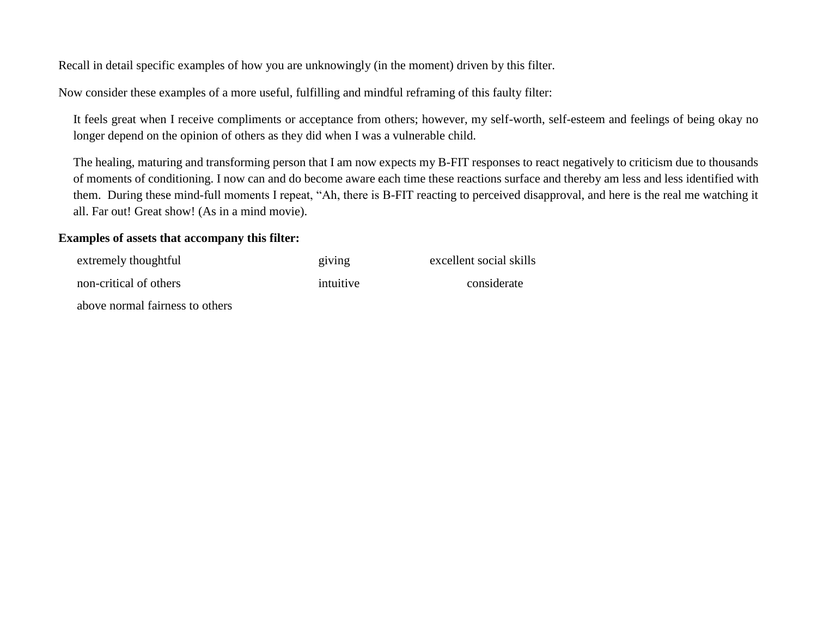Recall in detail specific examples of how you are unknowingly (in the moment) driven by this filter.

Now consider these examples of a more useful, fulfilling and mindful reframing of this faulty filter:

It feels great when I receive compliments or acceptance from others; however, my self-worth, self-esteem and feelings of being okay no longer depend on the opinion of others as they did when I was a vulnerable child.

The healing, maturing and transforming person that I am now expects my B-FIT responses to react negatively to criticism due to thousands of moments of conditioning. I now can and do become aware each time these reactions surface and thereby am less and less identified with them. During these mind-full moments I repeat, "Ah, there is B-FIT reacting to perceived disapproval, and here is the real me watching it all. Far out! Great show! (As in a mind movie).

### **Examples of assets that accompany this filter:**

| extremely thoughtful            | giving    | excellent social skills |
|---------------------------------|-----------|-------------------------|
| non-critical of others          | intuitive | considerate             |
| above normal fairness to others |           |                         |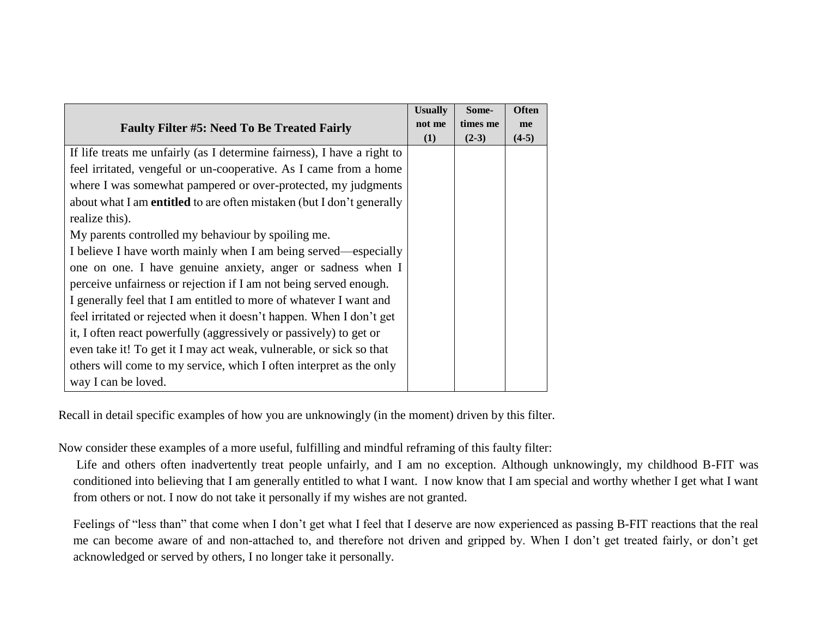|                                                                              | <b>Usually</b> | Some-    | <b>Often</b> |
|------------------------------------------------------------------------------|----------------|----------|--------------|
| <b>Faulty Filter #5: Need To Be Treated Fairly</b>                           | not me         | times me | me           |
|                                                                              | (1)            | $(2-3)$  | $(4-5)$      |
| If life treats me unfairly (as I determine fairness), I have a right to      |                |          |              |
| feel irritated, vengeful or un-cooperative. As I came from a home            |                |          |              |
| where I was somewhat pampered or over-protected, my judgments                |                |          |              |
| about what I am <b>entitled</b> to are often mistaken (but I don't generally |                |          |              |
| realize this).                                                               |                |          |              |
| My parents controlled my behaviour by spoiling me.                           |                |          |              |
| I believe I have worth mainly when I am being served—especially              |                |          |              |
| one on one. I have genuine anxiety, anger or sadness when I                  |                |          |              |
| perceive unfairness or rejection if I am not being served enough.            |                |          |              |
| I generally feel that I am entitled to more of whatever I want and           |                |          |              |
| feel irritated or rejected when it doesn't happen. When I don't get          |                |          |              |
| it, I often react powerfully (aggressively or passively) to get or           |                |          |              |
| even take it! To get it I may act weak, vulnerable, or sick so that          |                |          |              |
| others will come to my service, which I often interpret as the only          |                |          |              |
| way I can be loved.                                                          |                |          |              |

Recall in detail specific examples of how you are unknowingly (in the moment) driven by this filter.

Now consider these examples of a more useful, fulfilling and mindful reframing of this faulty filter:

Life and others often inadvertently treat people unfairly, and I am no exception. Although unknowingly, my childhood B-FIT was conditioned into believing that I am generally entitled to what I want. I now know that I am special and worthy whether I get what I want from others or not. I now do not take it personally if my wishes are not granted.

Feelings of "less than" that come when I don't get what I feel that I deserve are now experienced as passing B-FIT reactions that the real me can become aware of and non-attached to, and therefore not driven and gripped by. When I don't get treated fairly, or don't get acknowledged or served by others, I no longer take it personally.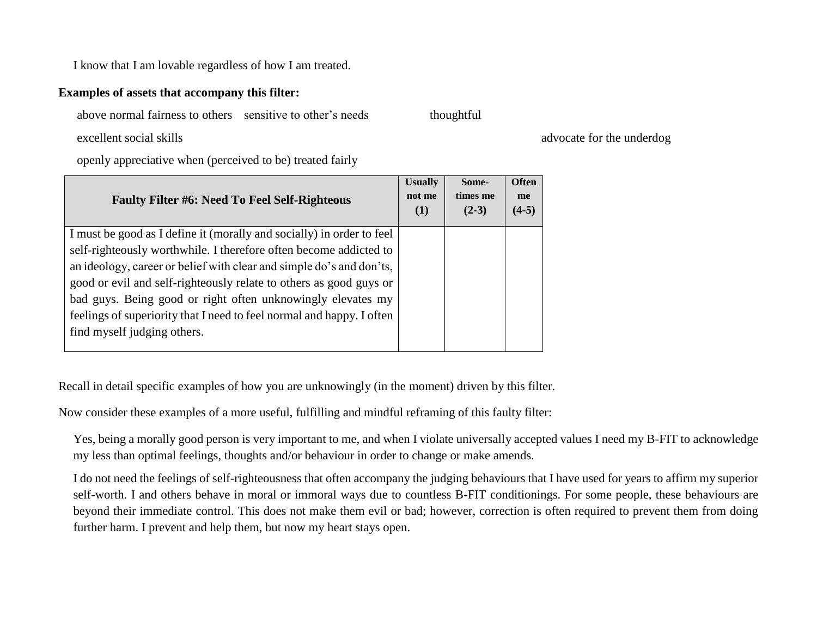I know that I am lovable regardless of how I am treated.

### **Examples of assets that accompany this filter:**

above normal fairness to others sensitive to other's needs thoughtful

excellent social skills advocate for the underdog

openly appreciative when (perceived to be) treated fairly

| <b>Faulty Filter #6: Need To Feel Self-Righteous</b>                  | <b>Usually</b><br>not me<br>(1) | Some-<br>times me<br>$(2-3)$ | <b>Often</b><br>me<br>$(4-5)$ |
|-----------------------------------------------------------------------|---------------------------------|------------------------------|-------------------------------|
| I must be good as I define it (morally and socially) in order to feel |                                 |                              |                               |
| self-righteously worthwhile. I therefore often become addicted to     |                                 |                              |                               |
| an ideology, career or belief with clear and simple do's and don'ts,  |                                 |                              |                               |
| good or evil and self-righteously relate to others as good guys or    |                                 |                              |                               |
| bad guys. Being good or right often unknowingly elevates my           |                                 |                              |                               |
| feelings of superiority that I need to feel normal and happy. I often |                                 |                              |                               |
| find myself judging others.                                           |                                 |                              |                               |
|                                                                       |                                 |                              |                               |

Recall in detail specific examples of how you are unknowingly (in the moment) driven by this filter.

Now consider these examples of a more useful, fulfilling and mindful reframing of this faulty filter:

Yes, being a morally good person is very important to me, and when I violate universally accepted values I need my B-FIT to acknowledge my less than optimal feelings, thoughts and/or behaviour in order to change or make amends.

I do not need the feelings of self-righteousness that often accompany the judging behaviours that I have used for years to affirm my superior self-worth. I and others behave in moral or immoral ways due to countless B-FIT conditionings. For some people, these behaviours are beyond their immediate control. This does not make them evil or bad; however, correction is often required to prevent them from doing further harm. I prevent and help them, but now my heart stays open.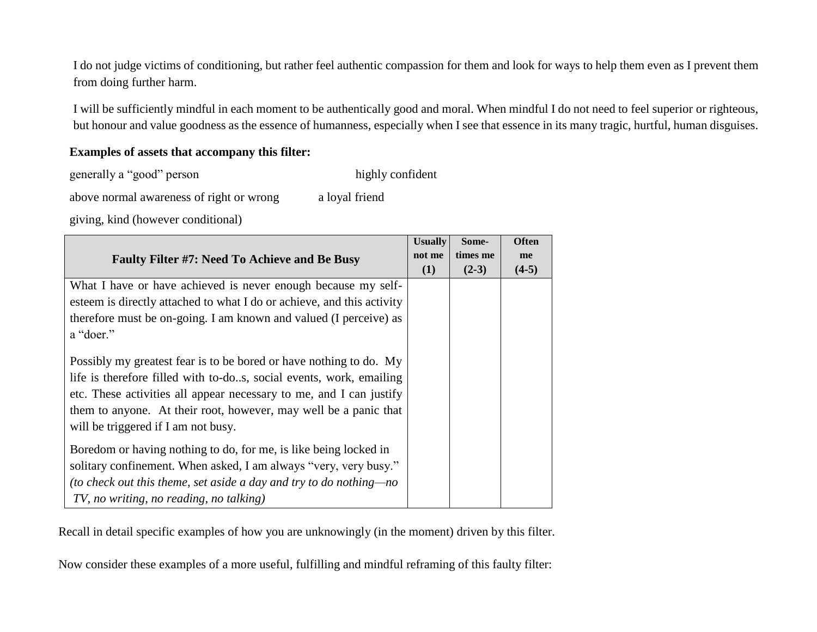I do not judge victims of conditioning, but rather feel authentic compassion for them and look for ways to help them even as I prevent them from doing further harm.

I will be sufficiently mindful in each moment to be authentically good and moral. When mindful I do not need to feel superior or righteous, but honour and value goodness as the essence of humanness, especially when I see that essence in its many tragic, hurtful, human disguises.

### **Examples of assets that accompany this filter:**

| generally a "good" person | highly confident |
|---------------------------|------------------|
|---------------------------|------------------|

above normal awareness of right or wrong a loyal friend

giving, kind (however conditional)

|                                                                        | <b>Usually</b> | Some-    | <b>Often</b> |
|------------------------------------------------------------------------|----------------|----------|--------------|
| <b>Faulty Filter #7: Need To Achieve and Be Busy</b>                   | not me         | times me | me           |
|                                                                        | (1)            | $(2-3)$  | $(4-5)$      |
| What I have or have achieved is never enough because my self-          |                |          |              |
| esteem is directly attached to what I do or achieve, and this activity |                |          |              |
| therefore must be on-going. I am known and valued (I perceive) as      |                |          |              |
| a "doer."                                                              |                |          |              |
| Possibly my greatest fear is to be bored or have nothing to do. My     |                |          |              |
| life is therefore filled with to-dos, social events, work, emailing    |                |          |              |
| etc. These activities all appear necessary to me, and I can justify    |                |          |              |
| them to anyone. At their root, however, may well be a panic that       |                |          |              |
| will be triggered if I am not busy.                                    |                |          |              |
| Boredom or having nothing to do, for me, is like being locked in       |                |          |              |
| solitary confinement. When asked, I am always "very, very busy."       |                |          |              |
| (to check out this theme, set aside a day and try to do nothing—no     |                |          |              |
| TV, no writing, no reading, no talking)                                |                |          |              |

Recall in detail specific examples of how you are unknowingly (in the moment) driven by this filter.

Now consider these examples of a more useful, fulfilling and mindful reframing of this faulty filter: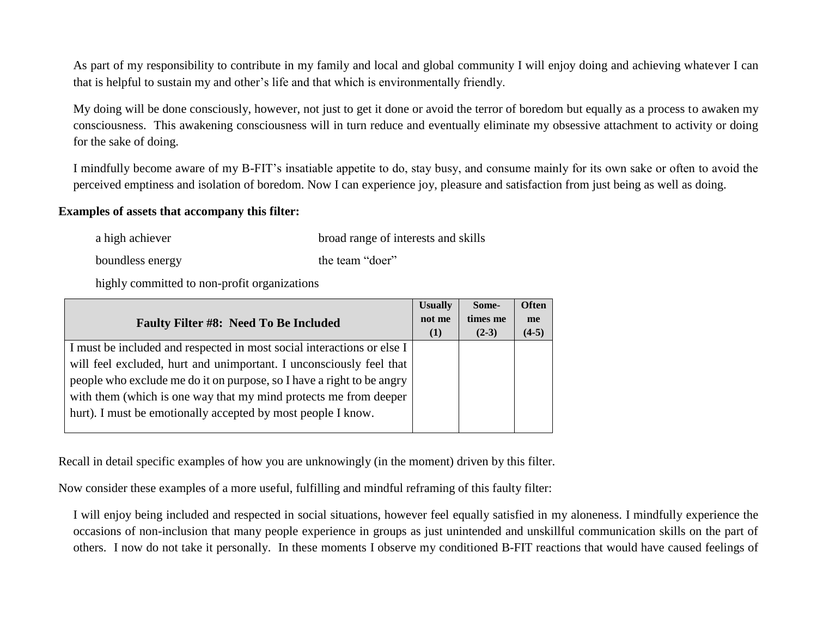As part of my responsibility to contribute in my family and local and global community I will enjoy doing and achieving whatever I can that is helpful to sustain my and other's life and that which is environmentally friendly.

My doing will be done consciously, however, not just to get it done or avoid the terror of boredom but equally as a process to awaken my consciousness. This awakening consciousness will in turn reduce and eventually eliminate my obsessive attachment to activity or doing for the sake of doing.

I mindfully become aware of my B-FIT's insatiable appetite to do, stay busy, and consume mainly for its own sake or often to avoid the perceived emptiness and isolation of boredom. Now I can experience joy, pleasure and satisfaction from just being as well as doing.

#### **Examples of assets that accompany this filter:**

a high achiever broad range of interests and skills

boundless energy the team "doer"

highly committed to non-profit organizations

| <b>Faulty Filter #8: Need To Be Included</b>                           | <b>Usually</b><br>not me<br>(1) | Some-<br>times me<br>$(2-3)$ | <b>Often</b><br>me<br>$(4-5)$ |
|------------------------------------------------------------------------|---------------------------------|------------------------------|-------------------------------|
| I must be included and respected in most social interactions or else I |                                 |                              |                               |
| will feel excluded, hurt and unimportant. I unconsciously feel that    |                                 |                              |                               |
| people who exclude me do it on purpose, so I have a right to be angry  |                                 |                              |                               |
| with them (which is one way that my mind protects me from deeper       |                                 |                              |                               |
| hurt). I must be emotionally accepted by most people I know.           |                                 |                              |                               |
|                                                                        |                                 |                              |                               |

Recall in detail specific examples of how you are unknowingly (in the moment) driven by this filter.

Now consider these examples of a more useful, fulfilling and mindful reframing of this faulty filter:

I will enjoy being included and respected in social situations, however feel equally satisfied in my aloneness. I mindfully experience the occasions of non-inclusion that many people experience in groups as just unintended and unskillful communication skills on the part of others. I now do not take it personally. In these moments I observe my conditioned B-FIT reactions that would have caused feelings of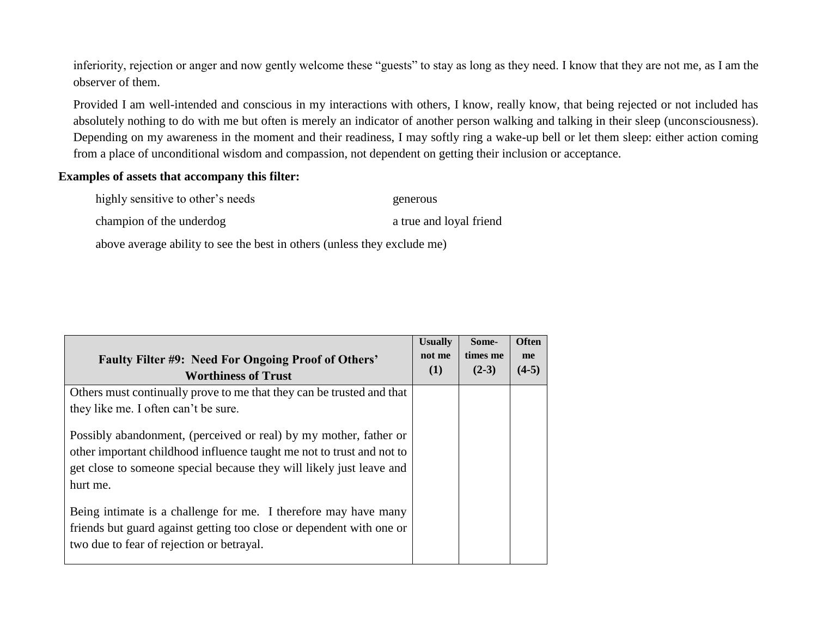inferiority, rejection or anger and now gently welcome these "guests" to stay as long as they need. I know that they are not me, as I am the observer of them.

Provided I am well-intended and conscious in my interactions with others, I know, really know, that being rejected or not included has absolutely nothing to do with me but often is merely an indicator of another person walking and talking in their sleep (unconsciousness). Depending on my awareness in the moment and their readiness, I may softly ring a wake-up bell or let them sleep: either action coming from a place of unconditional wisdom and compassion, not dependent on getting their inclusion or acceptance.

#### **Examples of assets that accompany this filter:**

highly sensitive to other's needs generous

champion of the underdog a true and loyal friend

above average ability to see the best in others (unless they exclude me)

| <b>Faulty Filter #9: Need For Ongoing Proof of Others'</b><br><b>Worthiness of Trust</b> | <b>Usually</b><br>not me<br>(1) | Some-<br>times me<br>$(2-3)$ | Often<br>me<br>$(4-5)$ |  |
|------------------------------------------------------------------------------------------|---------------------------------|------------------------------|------------------------|--|
| Others must continually prove to me that they can be trusted and that                    |                                 |                              |                        |  |
| they like me. I often can't be sure.                                                     |                                 |                              |                        |  |
| Possibly abandonment, (perceived or real) by my mother, father or                        |                                 |                              |                        |  |
| other important childhood influence taught me not to trust and not to                    |                                 |                              |                        |  |
| get close to someone special because they will likely just leave and                     |                                 |                              |                        |  |
| hurt me.                                                                                 |                                 |                              |                        |  |
| Being intimate is a challenge for me. I therefore may have many                          |                                 |                              |                        |  |
| friends but guard against getting too close or dependent with one or                     |                                 |                              |                        |  |
| two due to fear of rejection or betrayal.                                                |                                 |                              |                        |  |
|                                                                                          |                                 |                              |                        |  |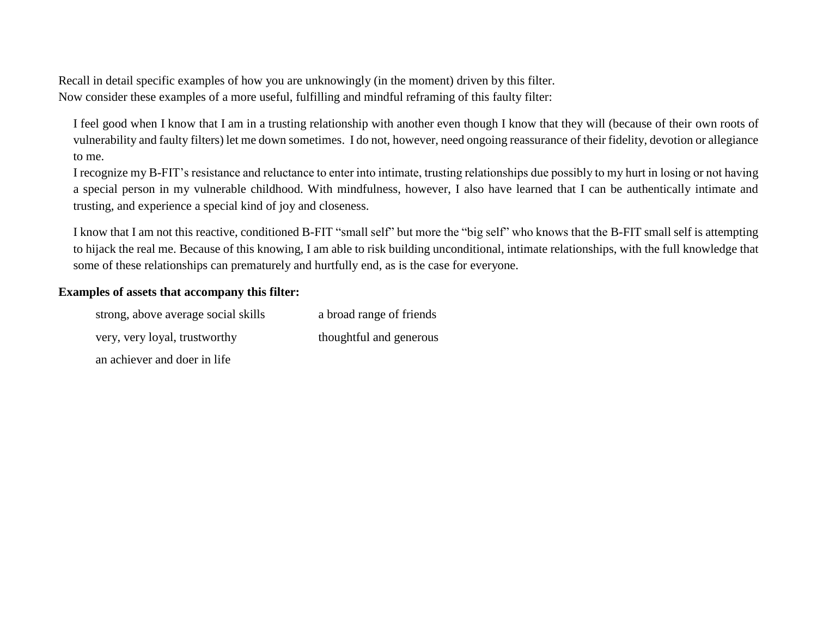Recall in detail specific examples of how you are unknowingly (in the moment) driven by this filter. Now consider these examples of a more useful, fulfilling and mindful reframing of this faulty filter:

I feel good when I know that I am in a trusting relationship with another even though I know that they will (because of their own roots of vulnerability and faulty filters) let me down sometimes. I do not, however, need ongoing reassurance of their fidelity, devotion or allegiance to me.

I recognize my B-FIT's resistance and reluctance to enter into intimate, trusting relationships due possibly to my hurt in losing or not having a special person in my vulnerable childhood. With mindfulness, however, I also have learned that I can be authentically intimate and trusting, and experience a special kind of joy and closeness.

I know that I am not this reactive, conditioned B-FIT "small self" but more the "big self" who knows that the B-FIT small self is attempting to hijack the real me. Because of this knowing, I am able to risk building unconditional, intimate relationships, with the full knowledge that some of these relationships can prematurely and hurtfully end, as is the case for everyone.

### **Examples of assets that accompany this filter:**

| strong, above average social skills | a broad range of friends |
|-------------------------------------|--------------------------|
| very, very loyal, trustworthy       | thoughtful and generous  |
| an achiever and doer in life        |                          |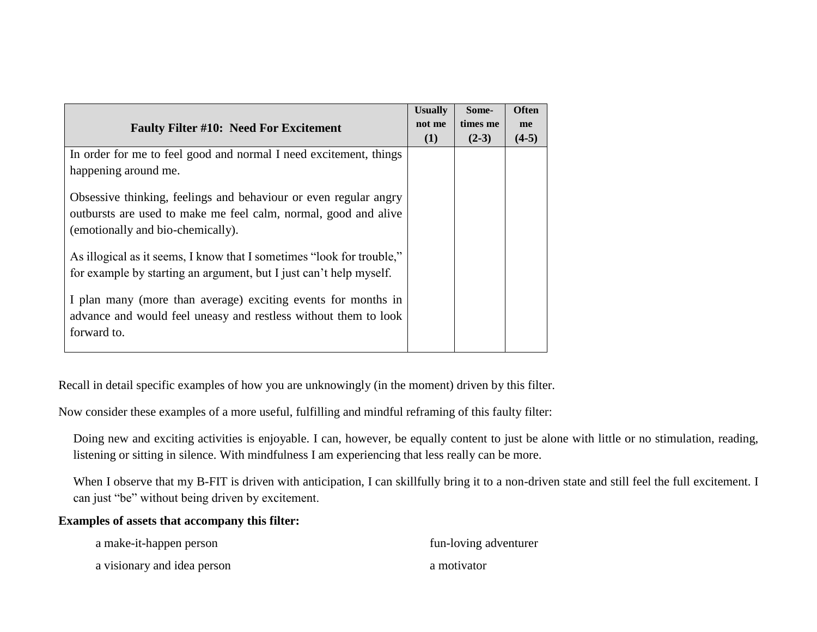| <b>Faulty Filter #10: Need For Excitement</b>                                                                                                                            | <b>Usually</b><br>not me<br>(1) | Some-<br>times me<br>$(2-3)$ | <b>Often</b><br>me<br>$(4-5)$ |
|--------------------------------------------------------------------------------------------------------------------------------------------------------------------------|---------------------------------|------------------------------|-------------------------------|
| In order for me to feel good and normal I need excitement, things<br>happening around me.                                                                                |                                 |                              |                               |
| Obsessive thinking, feelings and behaviour or even regular angry<br>outbursts are used to make me feel calm, normal, good and alive<br>(emotionally and bio-chemically). |                                 |                              |                               |
| As illogical as it seems, I know that I sometimes "look for trouble,"<br>for example by starting an argument, but I just can't help myself.                              |                                 |                              |                               |
| I plan many (more than average) exciting events for months in<br>advance and would feel uneasy and restless without them to look<br>forward to.                          |                                 |                              |                               |

Recall in detail specific examples of how you are unknowingly (in the moment) driven by this filter.

Now consider these examples of a more useful, fulfilling and mindful reframing of this faulty filter:

Doing new and exciting activities is enjoyable. I can, however, be equally content to just be alone with little or no stimulation, reading, listening or sitting in silence. With mindfulness I am experiencing that less really can be more.

When I observe that my B-FIT is driven with anticipation, I can skillfully bring it to a non-driven state and still feel the full excitement. I can just "be" without being driven by excitement.

#### **Examples of assets that accompany this filter:**

| a make-it-happen person     | fun-loving adventurer |
|-----------------------------|-----------------------|
| a visionary and idea person | a motivator           |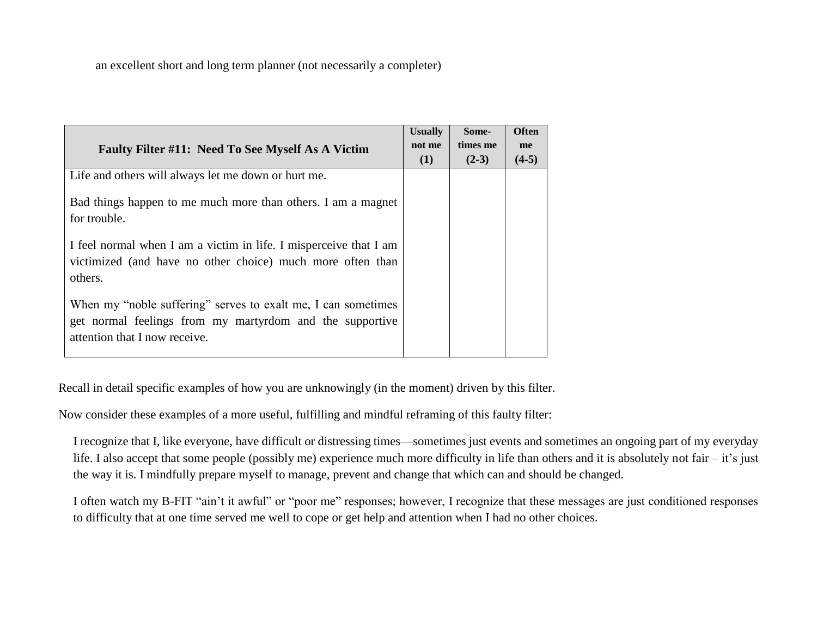an excellent short and long term planner (not necessarily a completer)

| <b>Faulty Filter #11: Need To See Myself As A Victim</b>                                                                                                   | <b>Usually</b><br>not me<br>(1) | Some-<br>times me<br>$(2-3)$ | <b>Often</b><br>me<br>$(4-5)$ |
|------------------------------------------------------------------------------------------------------------------------------------------------------------|---------------------------------|------------------------------|-------------------------------|
| Life and others will always let me down or hurt me.                                                                                                        |                                 |                              |                               |
| Bad things happen to me much more than others. I am a magnet<br>for trouble.                                                                               |                                 |                              |                               |
| I feel normal when I am a victim in life. I misperceive that I am<br>victimized (and have no other choice) much more often than<br>others.                 |                                 |                              |                               |
| When my "noble suffering" serves to exalt me, I can sometimes<br>get normal feelings from my martyrdom and the supportive<br>attention that I now receive. |                                 |                              |                               |

Recall in detail specific examples of how you are unknowingly (in the moment) driven by this filter.

Now consider these examples of a more useful, fulfilling and mindful reframing of this faulty filter:

I recognize that I, like everyone, have difficult or distressing times—sometimes just events and sometimes an ongoing part of my everyday life. I also accept that some people (possibly me) experience much more difficulty in life than others and it is absolutely not fair – it's just the way it is. I mindfully prepare myself to manage, prevent and change that which can and should be changed.

I often watch my B-FIT "ain't it awful" or "poor me" responses; however, I recognize that these messages are just conditioned responses to difficulty that at one time served me well to cope or get help and attention when I had no other choices.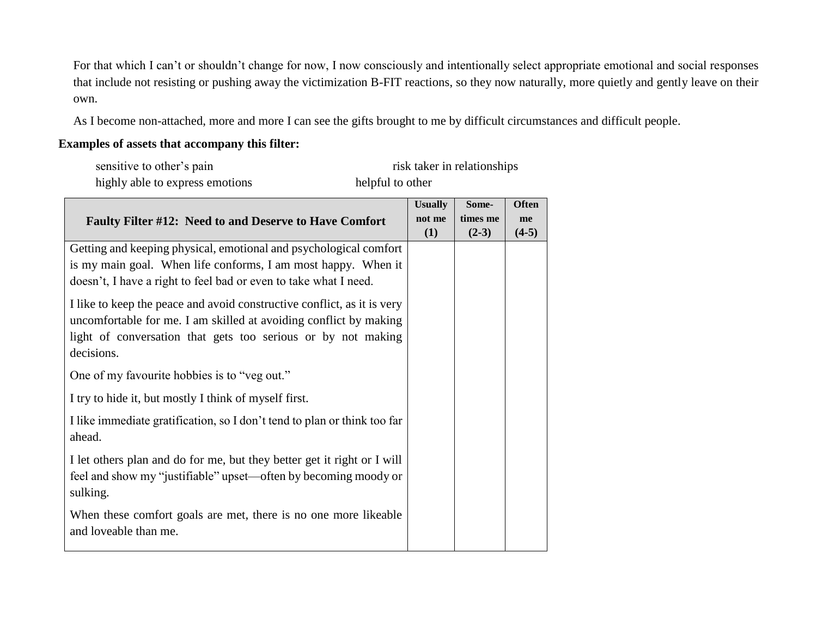For that which I can't or shouldn't change for now, I now consciously and intentionally select appropriate emotional and social responses that include not resisting or pushing away the victimization B-FIT reactions, so they now naturally, more quietly and gently leave on their own.

As I become non-attached, more and more I can see the gifts brought to me by difficult circumstances and difficult people.

## **Examples of assets that accompany this filter:**

| sensitive to other's pain                                                                                                                                                                                                  |                                 | risk taker in relationships  |                               |
|----------------------------------------------------------------------------------------------------------------------------------------------------------------------------------------------------------------------------|---------------------------------|------------------------------|-------------------------------|
| highly able to express emotions                                                                                                                                                                                            | helpful to other                |                              |                               |
| <b>Faulty Filter #12: Need to and Deserve to Have Comfort</b>                                                                                                                                                              | <b>Usually</b><br>not me<br>(1) | Some-<br>times me<br>$(2-3)$ | <b>Often</b><br>me<br>$(4-5)$ |
| Getting and keeping physical, emotional and psychological comfort<br>is my main goal. When life conforms, I am most happy. When it<br>doesn't, I have a right to feel bad or even to take what I need.                     |                                 |                              |                               |
| I like to keep the peace and avoid constructive conflict, as it is very<br>uncomfortable for me. I am skilled at avoiding conflict by making<br>light of conversation that gets too serious or by not making<br>decisions. |                                 |                              |                               |
| One of my favourite hobbies is to "veg out."                                                                                                                                                                               |                                 |                              |                               |
| I try to hide it, but mostly I think of myself first.                                                                                                                                                                      |                                 |                              |                               |
| I like immediate gratification, so I don't tend to plan or think too far<br>ahead.                                                                                                                                         |                                 |                              |                               |
| I let others plan and do for me, but they better get it right or I will<br>feel and show my "justifiable" upset—often by becoming moody or<br>sulking.                                                                     |                                 |                              |                               |
| When these comfort goals are met, there is no one more likeable<br>and loveable than me.                                                                                                                                   |                                 |                              |                               |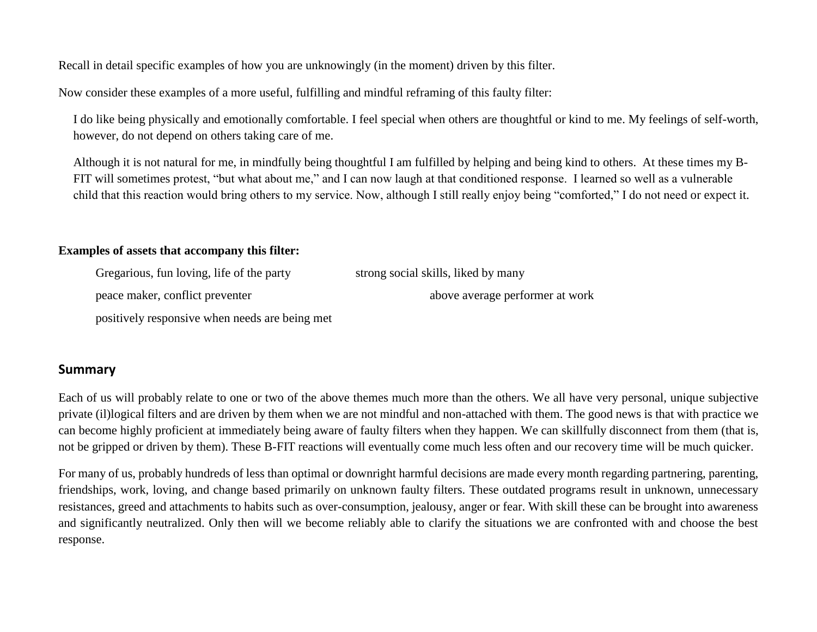Recall in detail specific examples of how you are unknowingly (in the moment) driven by this filter.

Now consider these examples of a more useful, fulfilling and mindful reframing of this faulty filter:

I do like being physically and emotionally comfortable. I feel special when others are thoughtful or kind to me. My feelings of self-worth, however, do not depend on others taking care of me.

Although it is not natural for me, in mindfully being thoughtful I am fulfilled by helping and being kind to others. At these times my B-FIT will sometimes protest, "but what about me," and I can now laugh at that conditioned response. I learned so well as a vulnerable child that this reaction would bring others to my service. Now, although I still really enjoy being "comforted," I do not need or expect it.

### **Examples of assets that accompany this filter:**

| Gregarious, fun loving, life of the party | strong social skills, liked by many |
|-------------------------------------------|-------------------------------------|
| peace maker, conflict preventer           | above average performer at work     |
|                                           |                                     |

positively responsive when needs are being met

## **Summary**

Each of us will probably relate to one or two of the above themes much more than the others. We all have very personal, unique subjective private (il)logical filters and are driven by them when we are not mindful and non-attached with them. The good news is that with practice we can become highly proficient at immediately being aware of faulty filters when they happen. We can skillfully disconnect from them (that is, not be gripped or driven by them). These B-FIT reactions will eventually come much less often and our recovery time will be much quicker.

For many of us, probably hundreds of less than optimal or downright harmful decisions are made every month regarding partnering, parenting, friendships, work, loving, and change based primarily on unknown faulty filters. These outdated programs result in unknown, unnecessary resistances, greed and attachments to habits such as over-consumption, jealousy, anger or fear. With skill these can be brought into awareness and significantly neutralized. Only then will we become reliably able to clarify the situations we are confronted with and choose the best response.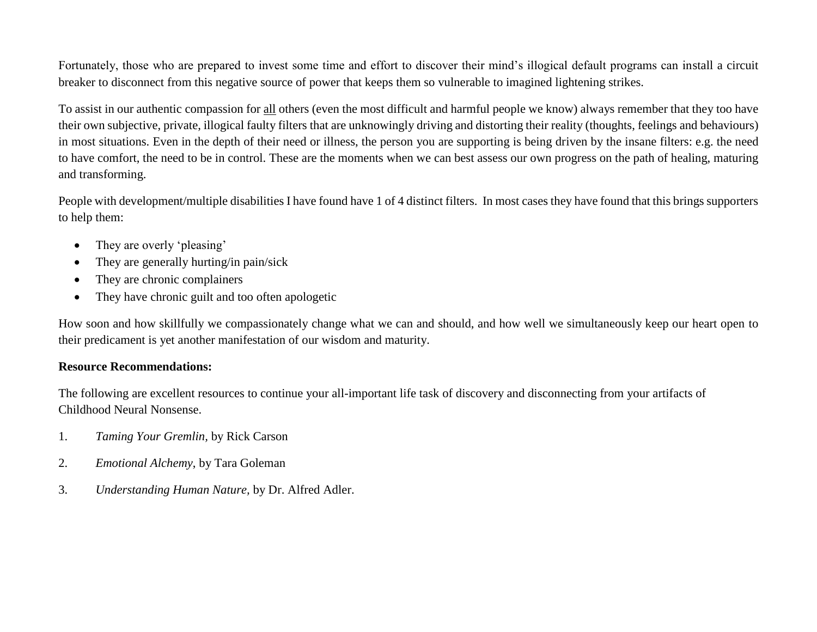Fortunately, those who are prepared to invest some time and effort to discover their mind's illogical default programs can install a circuit breaker to disconnect from this negative source of power that keeps them so vulnerable to imagined lightening strikes.

To assist in our authentic compassion for all others (even the most difficult and harmful people we know) always remember that they too have their own subjective, private, illogical faulty filters that are unknowingly driving and distorting their reality (thoughts, feelings and behaviours) in most situations. Even in the depth of their need or illness, the person you are supporting is being driven by the insane filters: e.g. the need to have comfort, the need to be in control. These are the moments when we can best assess our own progress on the path of healing, maturing and transforming.

People with development/multiple disabilities I have found have 1 of 4 distinct filters. In most cases they have found that this brings supporters to help them:

- They are overly 'pleasing'
- They are generally hurting/in pain/sick
- They are chronic complainers
- They have chronic guilt and too often apologetic

How soon and how skillfully we compassionately change what we can and should, and how well we simultaneously keep our heart open to their predicament is yet another manifestation of our wisdom and maturity.

## **Resource Recommendations:**

The following are excellent resources to continue your all-important life task of discovery and disconnecting from your artifacts of Childhood Neural Nonsense.

- 1. *Taming Your Gremlin,* by Rick Carson
- 2. *Emotional Alchemy*, by Tara Goleman
- 3. *Understanding Human Nature,* by Dr. Alfred Adler.